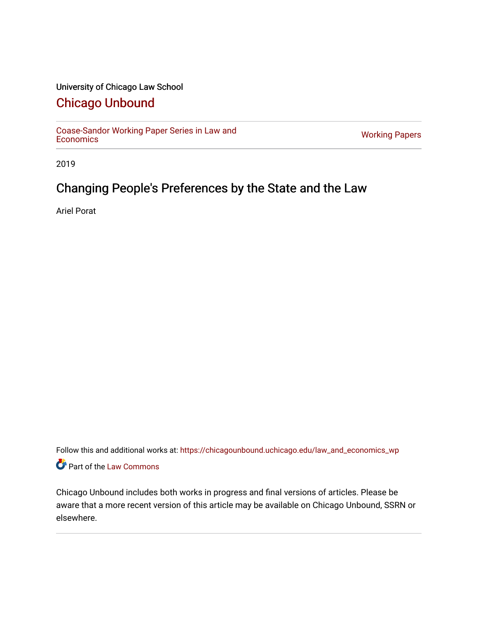## University of Chicago Law School

# [Chicago Unbound](https://chicagounbound.uchicago.edu/)

[Coase-Sandor Working Paper Series in Law and](https://chicagounbound.uchicago.edu/law_and_economics_wp) [Economics](https://chicagounbound.uchicago.edu/law_and_economics_wp) [Working Papers](https://chicagounbound.uchicago.edu/working_papers) 

2019

# Changing People's Preferences by the State and the Law

Ariel Porat

Follow this and additional works at: [https://chicagounbound.uchicago.edu/law\\_and\\_economics\\_wp](https://chicagounbound.uchicago.edu/law_and_economics_wp?utm_source=chicagounbound.uchicago.edu%2Flaw_and_economics_wp%2F53&utm_medium=PDF&utm_campaign=PDFCoverPages)  Part of the [Law Commons](http://network.bepress.com/hgg/discipline/578?utm_source=chicagounbound.uchicago.edu%2Flaw_and_economics_wp%2F53&utm_medium=PDF&utm_campaign=PDFCoverPages)

Chicago Unbound includes both works in progress and final versions of articles. Please be aware that a more recent version of this article may be available on Chicago Unbound, SSRN or elsewhere.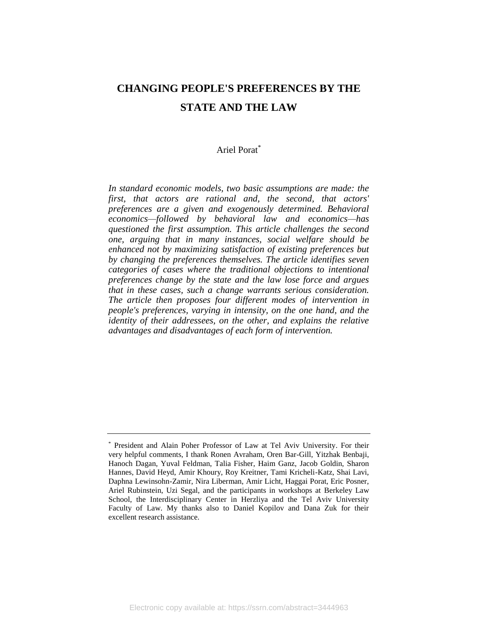# **CHANGING PEOPLE'S PREFERENCES BY THE STATE AND THE LAW**

## Ariel Porat\*

*In standard economic models, two basic assumptions are made: the first, that actors are rational and, the second, that actors' preferences are a given and exogenously determined. Behavioral economics—followed by behavioral law and economics—has questioned the first assumption. This article challenges the second one, arguing that in many instances, social welfare should be enhanced not by maximizing satisfaction of existing preferences but by changing the preferences themselves. The article identifies seven categories of cases where the traditional objections to intentional preferences change by the state and the law lose force and argues that in these cases, such a change warrants serious consideration. The article then proposes four different modes of intervention in people's preferences, varying in intensity, on the one hand, and the identity of their addressees, on the other, and explains the relative advantages and disadvantages of each form of intervention.*

<sup>\*</sup> President and Alain Poher Professor of Law at Tel Aviv University. For their very helpful comments, I thank Ronen Avraham, Oren Bar-Gill, Yitzhak Benbaji, Hanoch Dagan, Yuval Feldman, Talia Fisher, Haim Ganz, Jacob Goldin, Sharon Hannes, David Heyd, Amir Khoury, Roy Kreitner, Tami Kricheli-Katz, Shai Lavi, Daphna Lewinsohn-Zamir, Nira Liberman, Amir Licht, Haggai Porat, Eric Posner, Ariel Rubinstein, Uzi Segal, and the participants in workshops at Berkeley Law School, the Interdisciplinary Center in Herzliya and the Tel Aviv University Faculty of Law. My thanks also to Daniel Kopilov and Dana Zuk for their excellent research assistance.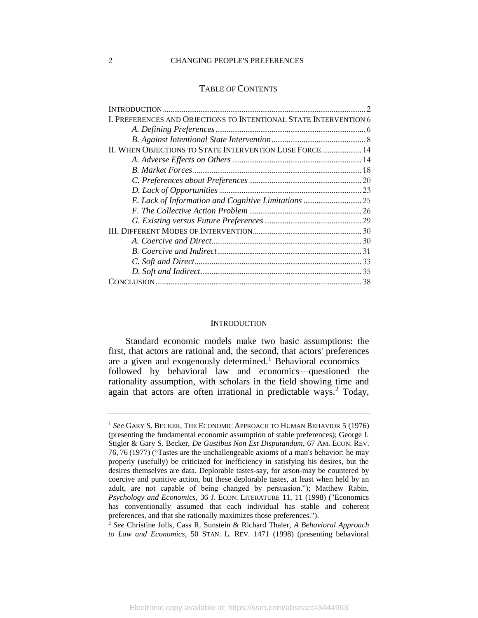#### 2 CHANGING PEOPLE'S PREFERENCES

#### TABLE OF CONTENTS

| I. PREFERENCES AND OBJECTIONS TO INTENTIONAL STATE INTERVENTION 6 |
|-------------------------------------------------------------------|
|                                                                   |
|                                                                   |
| II. WHEN OBJECTIONS TO STATE INTERVENTION LOSE FORCE  14          |
|                                                                   |
|                                                                   |
|                                                                   |
|                                                                   |
|                                                                   |
|                                                                   |
|                                                                   |
|                                                                   |
|                                                                   |
|                                                                   |
|                                                                   |
|                                                                   |
|                                                                   |

#### **INTRODUCTION**

<span id="page-2-0"></span>Standard economic models make two basic assumptions: the first, that actors are rational and, the second, that actors' preferences are a given and exogenously determined.<sup>1</sup> Behavioral economics followed by behavioral law and economics—questioned the rationality assumption, with scholars in the field showing time and again that actors are often irrational in predictable ways.<sup>2</sup> Today,

<sup>1</sup> *See* GARY S. BECKER, THE ECONOMIC APPROACH TO HUMAN BEHAVIOR 5 (1976) (presenting the fundamental economic assumption of stable preferences); George J. Stigler & Gary S. Becker, *De Gustibus Non Est Disputandum*, 67 AM. ECON. REV. 76, 76 (1977) ("Tastes are the unchallengeable axioms of a man's behavior: he may properly (usefully) be criticized for inefficiency in satisfying his desires, but the desires themselves are data. Deplorable tastes-say, for arson-may be countered by coercive and punitive action, but these deplorable tastes, at least when held by an adult, are not capable of being changed by persuasion."); Matthew Rabin, *Psychology and Economics*, 36 J. ECON. LITERATURE 11, 11 (1998) ("Economics has conventionally assumed that each individual has stable and coherent preferences, and that she rationally maximizes those preferences.").

<sup>2</sup> *See* Christine Jolls, Cass R. Sunstein & Richard Thaler, *A Behavioral Approach to Law and Economics*, 50 STAN. L. REV. 1471 (1998) (presenting behavioral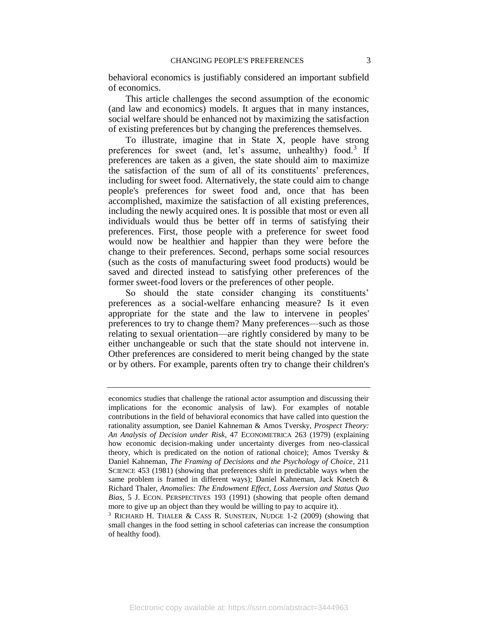behavioral economics is justifiably considered an important subfield of economics.

This article challenges the second assumption of the economic (and law and economics) models. It argues that in many instances, social welfare should be enhanced not by maximizing the satisfaction of existing preferences but by changing the preferences themselves.

<span id="page-3-0"></span>To illustrate, imagine that in State X, people have strong preferences for sweet (and, let's assume, unhealthy) food.<sup>3</sup> If preferences are taken as a given, the state should aim to maximize the satisfaction of the sum of all of its constituents' preferences, including for sweet food. Alternatively, the state could aim to change people's preferences for sweet food and, once that has been accomplished, maximize the satisfaction of all existing preferences, including the newly acquired ones. It is possible that most or even all individuals would thus be better off in terms of satisfying their preferences. First, those people with a preference for sweet food would now be healthier and happier than they were before the change to their preferences. Second, perhaps some social resources (such as the costs of manufacturing sweet food products) would be saved and directed instead to satisfying other preferences of the former sweet-food lovers or the preferences of other people.

So should the state consider changing its constituents' preferences as a social-welfare enhancing measure? Is it even appropriate for the state and the law to intervene in peoples' preferences to try to change them? Many preferences—such as those relating to sexual orientation—are rightly considered by many to be either unchangeable or such that the state should not intervene in. Other preferences are considered to merit being changed by the state or by others. For example, parents often try to change their children's

economics studies that challenge the rational actor assumption and discussing their implications for the economic analysis of law). For examples of notable contributions in the field of behavioral economics that have called into question the rationality assumption, see Daniel Kahneman & Amos Tversky, *Prospect Theory: An Analysis of Decision under Risk*, 47 ECONOMETRICA 263 (1979) (explaining how economic decision-making under uncertainty diverges from neo-classical theory, which is predicated on the notion of rational choice); Amos Tversky & Daniel Kahneman, *The Framing of Decisions and the Psychology of Choice*, 211 SCIENCE 453 (1981) (showing that preferences shift in predictable ways when the same problem is framed in different ways); Daniel Kahneman, Jack Knetch & Richard Thaler, *Anomalies: The Endowment Effect, Loss Aversion and Status Quo Bias*, 5 J. ECON. PERSPECTIVES 193 (1991) (showing that people often demand more to give up an object than they would be willing to pay to acquire it).

<sup>3</sup> RICHARD H. THALER & CASS R. SUNSTEIN, NUDGE 1-2 (2009) (showing that small changes in the food setting in school cafeterias can increase the consumption of healthy food).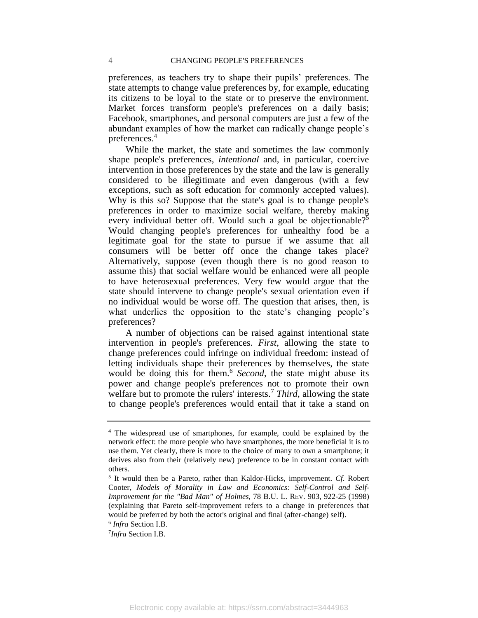preferences, as teachers try to shape their pupils' preferences. The state attempts to change value preferences by, for example, educating its citizens to be loyal to the state or to preserve the environment. Market forces transform people's preferences on a daily basis; Facebook, smartphones, and personal computers are just a few of the abundant examples of how the market can radically change people's preferences.<sup>4</sup>

While the market, the state and sometimes the law commonly shape people's preferences, *intentional* and, in particular, coercive intervention in those preferences by the state and the law is generally considered to be illegitimate and even dangerous (with a few exceptions, such as soft education for commonly accepted values). Why is this so? Suppose that the state's goal is to change people's preferences in order to maximize social welfare, thereby making every individual better off. Would such a goal be objectionable?<sup>5</sup> Would changing people's preferences for unhealthy food be a legitimate goal for the state to pursue if we assume that all consumers will be better off once the change takes place? Alternatively, suppose (even though there is no good reason to assume this) that social welfare would be enhanced were all people to have heterosexual preferences. Very few would argue that the state should intervene to change people's sexual orientation even if no individual would be worse off. The question that arises, then, is what underlies the opposition to the state's changing people's preferences?

A number of objections can be raised against intentional state intervention in people's preferences. *First*, allowing the state to change preferences could infringe on individual freedom: instead of letting individuals shape their preferences by themselves, the state would be doing this for them.<sup>6</sup> Second, the state might abuse its power and change people's preferences not to promote their own welfare but to promote the rulers' interests.<sup>7</sup> *Third*, allowing the state to change people's preferences would entail that it take a stand on

<sup>&</sup>lt;sup>4</sup> The widespread use of smartphones, for example, could be explained by the network effect: the more people who have smartphones, the more beneficial it is to use them. Yet clearly, there is more to the choice of many to own a smartphone; it derives also from their (relatively new) preference to be in constant contact with others.

<sup>5</sup> It would then be a Pareto, rather than Kaldor-Hicks, improvement. *Cf*. Robert Cooter, *Models of Morality in Law and Economics: Self-Control and Self-Improvement for the "Bad Man" of Holmes*, 78 B.U. L. REV. 903, 922-25 (1998) (explaining that Pareto self-improvement refers to a change in preferences that would be preferred by both the actor's original and final (after-change) self).

<sup>6</sup> *Infra* Section I.B.

<sup>7</sup> *Infra* Section I.B.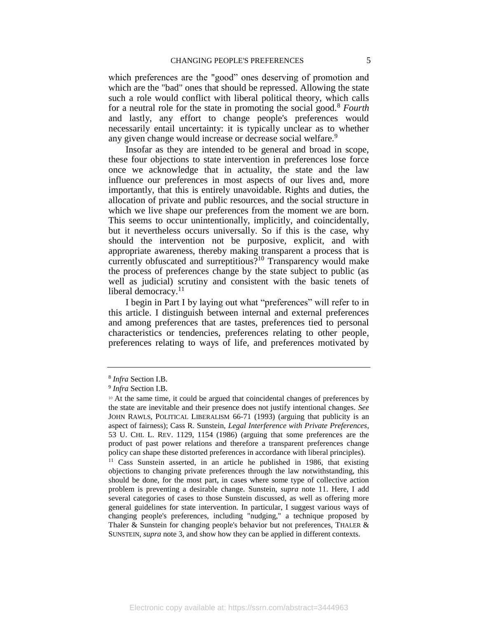which preferences are the "good" ones deserving of promotion and which are the "bad" ones that should be repressed. Allowing the state such a role would conflict with liberal political theory, which calls for a neutral role for the state in promoting the social good.<sup>8</sup> *Fourth* and lastly, any effort to change people's preferences would necessarily entail uncertainty: it is typically unclear as to whether any given change would increase or decrease social welfare.<sup>9</sup>

Insofar as they are intended to be general and broad in scope, these four objections to state intervention in preferences lose force once we acknowledge that in actuality, the state and the law influence our preferences in most aspects of our lives and, more importantly, that this is entirely unavoidable. Rights and duties, the allocation of private and public resources, and the social structure in which we live shape our preferences from the moment we are born. This seems to occur unintentionally, implicitly, and coincidentally, but it nevertheless occurs universally. So if this is the case, why should the intervention not be purposive, explicit, and with appropriate awareness, thereby making transparent a process that is currently obfuscated and surreptitious?<sup>10</sup> Transparency would make the process of preferences change by the state subject to public (as well as judicial) scrutiny and consistent with the basic tenets of liberal democracy.<sup>11</sup>

<span id="page-5-0"></span>I begin in Part I by laying out what "preferences" will refer to in this article. I distinguish between internal and external preferences and among preferences that are tastes, preferences tied to personal characteristics or tendencies, preferences relating to other people, preferences relating to ways of life, and preferences motivated by

<sup>8</sup> *Infra* Section I.B.

<sup>9</sup> *Infra* Section I.B.

<sup>10</sup> At the same time, it could be argued that coincidental changes of preferences by the state are inevitable and their presence does not justify intentional changes. *See* JOHN RAWLS, POLITICAL LIBERALISM 66-71 (1993) (arguing that publicity is an aspect of fairness); Cass R. Sunstein, *Legal Interference with Private Preferences*, 53 U. CHI. L. REV. 1129, 1154 (1986) (arguing that some preferences are the product of past power relations and therefore a transparent preferences change policy can shape these distorted preferences in accordance with liberal principles).

<sup>&</sup>lt;sup>11</sup> Cass Sunstein asserted, in an article he published in 1986, that existing objections to changing private preferences through the law notwithstanding, this should be done, for the most part, in cases where some type of collective action problem is preventing a desirable change. Sunstein, *supra* note [11.](#page-5-0) Here, I add several categories of cases to those Sunstein discussed, as well as offering more general guidelines for state intervention. In particular, I suggest various ways of changing people's preferences, including "nudging," a technique proposed by Thaler & Sunstein for changing people's behavior but not preferences, THALER  $\&$ SUNSTEIN, *supra* note [3,](#page-3-0) and show how they can be applied in different contexts.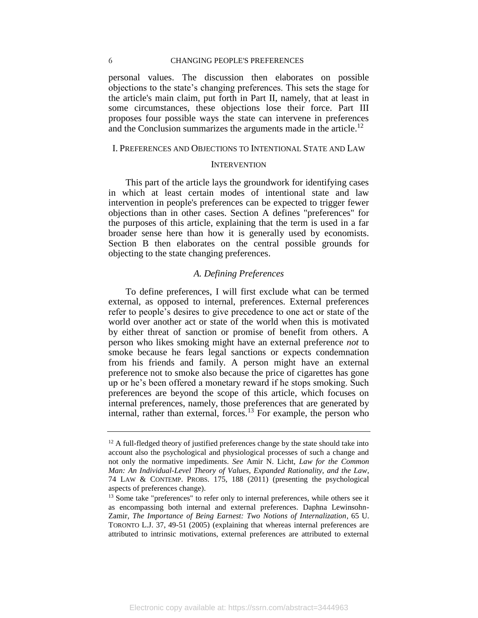#### 6 CHANGING PEOPLE'S PREFERENCES

personal values. The discussion then elaborates on possible objections to the state's changing preferences. This sets the stage for the article's main claim, put forth in Part II, namely, that at least in some circumstances, these objections lose their force. Part III proposes four possible ways the state can intervene in preferences and the Conclusion summarizes the arguments made in the article.<sup>12</sup>

#### <span id="page-6-0"></span>I. PREFERENCES AND OBJECTIONS TO INTENTIONAL STATE AND LAW

#### **INTERVENTION**

This part of the article lays the groundwork for identifying cases in which at least certain modes of intentional state and law intervention in people's preferences can be expected to trigger fewer objections than in other cases. Section A defines "preferences" for the purposes of this article, explaining that the term is used in a far broader sense here than how it is generally used by economists. Section B then elaborates on the central possible grounds for objecting to the state changing preferences.

## *A. Defining Preferences*

<span id="page-6-1"></span>To define preferences, I will first exclude what can be termed external, as opposed to internal, preferences. External preferences refer to people's desires to give precedence to one act or state of the world over another act or state of the world when this is motivated by either threat of sanction or promise of benefit from others. A person who likes smoking might have an external preference *not* to smoke because he fears legal sanctions or expects condemnation from his friends and family. A person might have an external preference not to smoke also because the price of cigarettes has gone up or he's been offered a monetary reward if he stops smoking. Such preferences are beyond the scope of this article, which focuses on internal preferences, namely, those preferences that are generated by internal, rather than external, forces.<sup>13</sup> For example, the person who

<span id="page-6-2"></span> $12$  A full-fledged theory of justified preferences change by the state should take into account also the psychological and physiological processes of such a change and not only the normative impediments. *See* Amir N. Licht, *Law for the Common Man: An Individual-Level Theory of Values, Expanded Rationality, and the Law*, 74 LAW & CONTEMP. PROBS. 175, 188 (2011) (presenting the psychological aspects of preferences change).

<sup>&</sup>lt;sup>13</sup> Some take "preferences" to refer only to internal preferences, while others see it as encompassing both internal and external preferences. Daphna Lewinsohn-Zamir, *The Importance of Being Earnest: Two Notions of Internalization*, 65 U. TORONTO L.J. 37, 49-51 (2005) (explaining that whereas internal preferences are attributed to intrinsic motivations, external preferences are attributed to external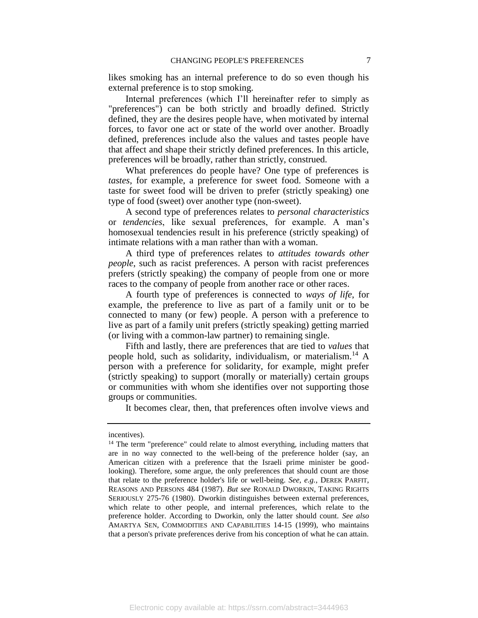likes smoking has an internal preference to do so even though his external preference is to stop smoking.

Internal preferences (which I'll hereinafter refer to simply as "preferences") can be both strictly and broadly defined. Strictly defined, they are the desires people have, when motivated by internal forces, to favor one act or state of the world over another. Broadly defined, preferences include also the values and tastes people have that affect and shape their strictly defined preferences. In this article, preferences will be broadly, rather than strictly, construed.

What preferences do people have? One type of preferences is *tastes*, for example, a preference for sweet food. Someone with a taste for sweet food will be driven to prefer (strictly speaking) one type of food (sweet) over another type (non-sweet).

A second type of preferences relates to *personal characteristics*  or *tendencies*, like sexual preferences, for example. A man's homosexual tendencies result in his preference (strictly speaking) of intimate relations with a man rather than with a woman.

A third type of preferences relates to *attitudes towards other people*, such as racist preferences. A person with racist preferences prefers (strictly speaking) the company of people from one or more races to the company of people from another race or other races.

A fourth type of preferences is connected to *ways of life*, for example, the preference to live as part of a family unit or to be connected to many (or few) people. A person with a preference to live as part of a family unit prefers (strictly speaking) getting married (or living with a common-law partner) to remaining single.

Fifth and lastly, there are preferences that are tied to *values* that people hold, such as solidarity, individualism, or materialism.<sup>14</sup> A person with a preference for solidarity, for example, might prefer (strictly speaking) to support (morally or materially) certain groups or communities with whom she identifies over not supporting those groups or communities.

It becomes clear, then, that preferences often involve views and

incentives).

<sup>&</sup>lt;sup>14</sup> The term "preference" could relate to almost everything, including matters that are in no way connected to the well-being of the preference holder (say, an American citizen with a preference that the Israeli prime minister be goodlooking). Therefore, some argue, the only preferences that should count are those that relate to the preference holder's life or well-being. *See, e.g.*, DEREK PARFIT, REASONS AND PERSONS 484 (1987). *But see* RONALD DWORKIN, TAKING RIGHTS SERIOUSLY 275-76 (1980). Dworkin distinguishes between external preferences, which relate to other people, and internal preferences, which relate to the preference holder. According to Dworkin, only the latter should count. *See also* AMARTYA SEN, COMMODITIES AND CAPABILITIES 14-15 (1999), who maintains that a person's private preferences derive from his conception of what he can attain.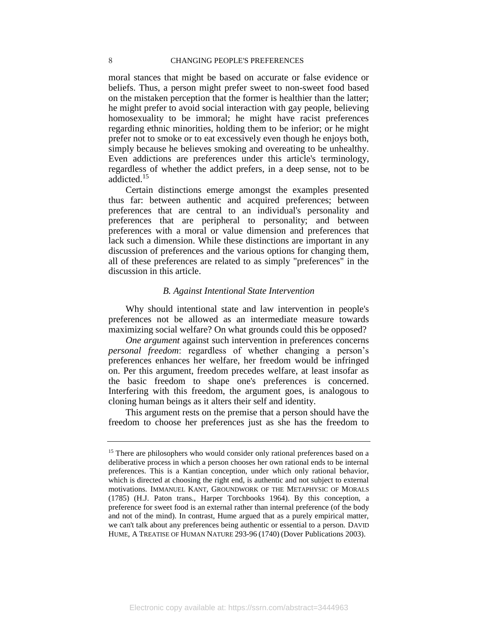moral stances that might be based on accurate or false evidence or beliefs. Thus, a person might prefer sweet to non-sweet food based on the mistaken perception that the former is healthier than the latter; he might prefer to avoid social interaction with gay people, believing homosexuality to be immoral; he might have racist preferences regarding ethnic minorities, holding them to be inferior; or he might prefer not to smoke or to eat excessively even though he enjoys both, simply because he believes smoking and overeating to be unhealthy. Even addictions are preferences under this article's terminology, regardless of whether the addict prefers, in a deep sense, not to be addicted.<sup>15</sup>

Certain distinctions emerge amongst the examples presented thus far: between authentic and acquired preferences; between preferences that are central to an individual's personality and preferences that are peripheral to personality; and between preferences with a moral or value dimension and preferences that lack such a dimension. While these distinctions are important in any discussion of preferences and the various options for changing them, all of these preferences are related to as simply "preferences" in the discussion in this article.

## *B. Against Intentional State Intervention*

<span id="page-8-0"></span>Why should intentional state and law intervention in people's preferences not be allowed as an intermediate measure towards maximizing social welfare? On what grounds could this be opposed?

*One argument* against such intervention in preferences concerns *personal freedom*: regardless of whether changing a person's preferences enhances her welfare, her freedom would be infringed on. Per this argument, freedom precedes welfare, at least insofar as the basic freedom to shape one's preferences is concerned. Interfering with this freedom, the argument goes, is analogous to cloning human beings as it alters their self and identity.

This argument rests on the premise that a person should have the freedom to choose her preferences just as she has the freedom to

<sup>&</sup>lt;sup>15</sup> There are philosophers who would consider only rational preferences based on a deliberative process in which a person chooses her own rational ends to be internal preferences. This is a Kantian conception, under which only rational behavior, which is directed at choosing the right end, is authentic and not subject to external motivations. IMMANUEL KANT, GROUNDWORK OF THE METAPHYSIC OF MORALS (1785) (H.J. Paton trans., Harper Torchbooks 1964). By this conception, a preference for sweet food is an external rather than internal preference (of the body and not of the mind). In contrast, Hume argued that as a purely empirical matter, we can't talk about any preferences being authentic or essential to a person. DAVID HUME, A TREATISE OF HUMAN NATURE 293-96 (1740) (Dover Publications 2003).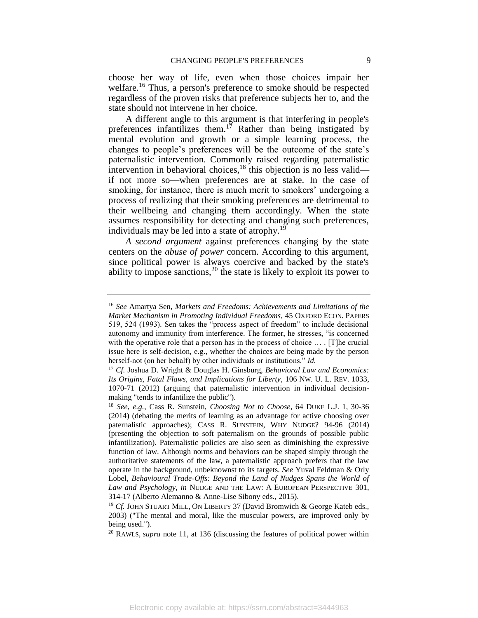choose her way of life, even when those choices impair her welfare.<sup>16</sup> Thus, a person's preference to smoke should be respected regardless of the proven risks that preference subjects her to, and the state should not intervene in her choice.

<span id="page-9-0"></span>A different angle to this argument is that interfering in people's preferences infantilizes them.<sup>17</sup> Rather than being instigated by mental evolution and growth or a simple learning process, the changes to people's preferences will be the outcome of the state's paternalistic intervention. Commonly raised regarding paternalistic intervention in behavioral choices, $^{18}$  this objection is no less valid if not more so—when preferences are at stake. In the case of smoking, for instance, there is much merit to smokers' undergoing a process of realizing that their smoking preferences are detrimental to their wellbeing and changing them accordingly. When the state assumes responsibility for detecting and changing such preferences, individuals may be led into a state of atrophy.<sup>19</sup>

<span id="page-9-1"></span>*A second argument* against preferences changing by the state centers on the *abuse of power* concern. According to this argument, since political power is always coercive and backed by the state's ability to impose sanctions,<sup>20</sup> the state is likely to exploit its power to

<sup>16</sup> *See* Amartya Sen, *Markets and Freedoms: Achievements and Limitations of the Market Mechanism in Promoting Individual Freedoms*, 45 OXFORD ECON. PAPERS 519, 524 (1993). Sen takes the "process aspect of freedom" to include decisional autonomy and immunity from interference. The former, he stresses, "is concerned with the operative role that a person has in the process of choice … . [T]he crucial issue here is self-decision, e.g., whether the choices are being made by the person herself-not (on her behalf) by other individuals or institutions." *Id.*

<sup>17</sup> *Cf.* Joshua D. Wright & Douglas H. Ginsburg, *Behavioral Law and Economics: Its Origins, Fatal Flaws, and Implications for Liberty*, 106 NW. U. L. REV. 1033, 1070-71 (2012) (arguing that paternalistic intervention in individual decisionmaking "tends to infantilize the public").

<sup>18</sup> *See*, *e.g.*, Cass R. Sunstein*, Choosing Not to Choose*, 64 DUKE L.J. 1, 30-36 (2014) (debating the merits of learning as an advantage for active choosing over paternalistic approaches); CASS R. SUNSTEIN, WHY NUDGE? 94-96 (2014) (presenting the objection to soft paternalism on the grounds of possible public infantilization). Paternalistic policies are also seen as diminishing the expressive function of law. Although norms and behaviors can be shaped simply through the authoritative statements of the law, a paternalistic approach prefers that the law operate in the background, unbeknownst to its targets. *See* Yuval Feldman & Orly Lobel, *Behavioural Trade-Offs: Beyond the Land of Nudges Spans the World of Law and Psychology*, *in* NUDGE AND THE LAW: A EUROPEAN PERSPECTIVE 301, 314-17 (Alberto Alemanno & Anne-Lise Sibony eds., 2015).

<sup>&</sup>lt;sup>19</sup> Cf. JOHN S[TUART](javascript:__doLinkPostBack() MILL, ON LIBERTY 37 (David Bromwich & George Kateb eds., 2003) ("The mental and moral, like the muscular powers, are improved only by being used.").

<sup>20</sup> RAWLS, *supra* note [11,](#page-5-0) at 136 (discussing the features of political power within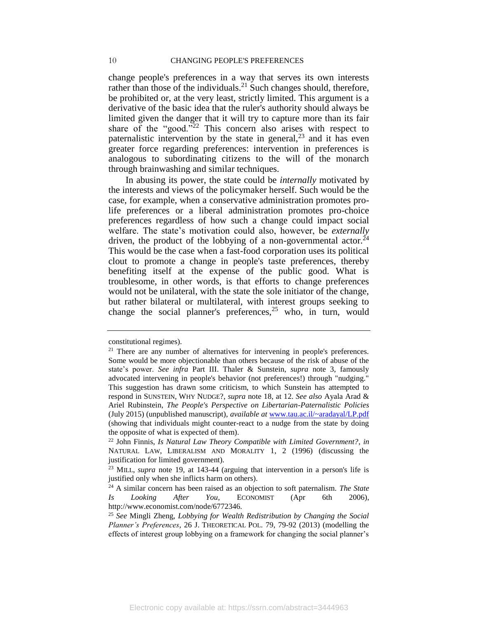<span id="page-10-0"></span>change people's preferences in a way that serves its own interests rather than those of the individuals.<sup>21</sup> Such changes should, therefore, be prohibited or, at the very least, strictly limited. This argument is a derivative of the basic idea that the ruler's authority should always be limited given the danger that it will try to capture more than its fair share of the "good."<sup>22</sup> This concern also arises with respect to paternalistic intervention by the state in general,  $2<sup>3</sup>$  and it has even greater force regarding preferences: intervention in preferences is analogous to subordinating citizens to the will of the monarch through brainwashing and similar techniques.

In abusing its power, the state could be *internally* motivated by the interests and views of the policymaker herself. Such would be the case, for example, when a conservative administration promotes prolife preferences or a liberal administration promotes pro-choice preferences regardless of how such a change could impact social welfare. The state's motivation could also, however, be *externally* driven, the product of the lobbying of a non-governmental actor.<sup>24</sup> This would be the case when a fast-food corporation uses its political clout to promote a change in people's taste preferences, thereby benefiting itself at the expense of the public good. What is troublesome, in other words, is that efforts to change preferences would not be unilateral, with the state the sole initiator of the change, but rather bilateral or multilateral, with interest groups seeking to change the social planner's preferences,  $25$  who, in turn, would

constitutional regimes).

<sup>&</sup>lt;sup>21</sup> There are any number of alternatives for intervening in people's preferences. Some would be more objectionable than others because of the risk of abuse of the state's power. *See infra* Part III. Thaler & Sunstein, *supra* note [3,](#page-3-0) famously advocated intervening in people's behavior (not preferences!) through "nudging." This suggestion has drawn some criticism, to which Sunstein has attempted to respond in SUNSTEIN, WHY NUDGE?, *supra* note [18,](#page-9-0) at 12. *See also* Ayala Arad & Ariel Rubinstein, *The People's Perspective on Libertarian-Paternalistic Policies* (July 2015) (unpublished manuscript), *available at* [www.tau.ac.il/~aradayal/LP.pdf](http://www.tau.ac.il/~aradayal/LP.pdf) (showing that individuals might counter-react to a nudge from the state by doing the opposite of what is expected of them).

<sup>22</sup> John Finnis, *Is Natural Law Theory Compatible with Limited Government?*, *in* NATURAL LAW, LIBERALISM AND MORALITY 1, 2 (1996) (discussing the justification for limited government).

<sup>23</sup> MILL, *supra* note [19,](#page-9-1) at 143-44 (arguing that intervention in a person's life is justified only when she inflicts harm on others).

<sup>24</sup> A similar concern has been raised as an objection to soft paternalism. *The State Is Looking After You*, ECONOMIST (Apr 6th 2006), http://www.economist.com/node/6772346.

<sup>25</sup> *See* Mingli Zheng, *Lobbying for Wealth Redistribution by Changing the Social Planner's Preferences*, 26 J. THEORETICAL POL. 79, 79-92 (2013) (modelling the effects of interest group lobbying on a framework for changing the social planner's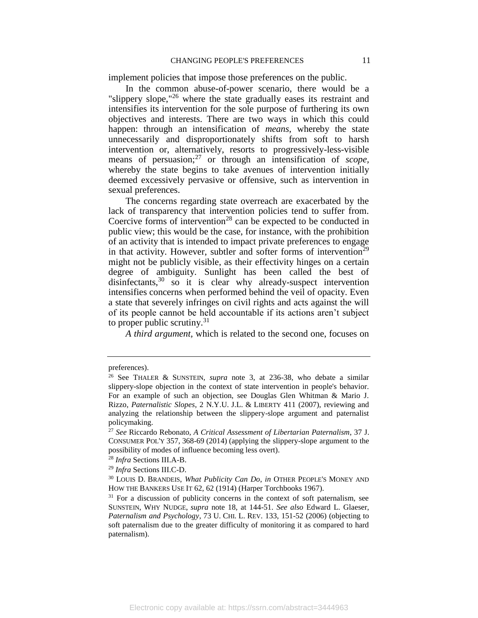implement policies that impose those preferences on the public.

In the common abuse-of-power scenario, there would be a "slippery slope," $^{26}$  where the state gradually eases its restraint and intensifies its intervention for the sole purpose of furthering its own objectives and interests. There are two ways in which this could happen: through an intensification of *means*, whereby the state unnecessarily and disproportionately shifts from soft to harsh intervention or, alternatively, resorts to progressively-less-visible means of persuasion;<sup>27</sup> or through an intensification of *scope,* whereby the state begins to take avenues of intervention initially deemed excessively pervasive or offensive, such as intervention in sexual preferences.

The concerns regarding state overreach are exacerbated by the lack of transparency that intervention policies tend to suffer from. Coercive forms of intervention<sup>28</sup> can be expected to be conducted in public view; this would be the case, for instance, with the prohibition of an activity that is intended to impact private preferences to engage in that activity. However, subtler and softer forms of intervention<sup>29</sup> might not be publicly visible, as their effectivity hinges on a certain degree of ambiguity. Sunlight has been called the best of disinfectants,<sup>30</sup> so it is clear why already-suspect intervention intensifies concerns when performed behind the veil of opacity. Even a state that severely infringes on civil rights and acts against the will of its people cannot be held accountable if its actions aren't subject to proper public scrutiny.<sup>31</sup>

<span id="page-11-0"></span>*A third argument,* which is related to the second one, focuses on

<sup>28</sup> *Infra* Sections III.A-B.

<sup>29</sup> *Infra* Sections III.C-D.

preferences).

<sup>26</sup> See THALER & SUNSTEIN, *supra* note [3,](#page-3-0) at 236-38, who debate a similar slippery-slope objection in the context of state intervention in people's behavior. For an example of such an objection, see Douglas Glen Whitman & Mario J. Rizzo, *Paternalistic Slopes*, 2 N.Y.U. J.L. & LIBERTY 411 (2007), reviewing and analyzing the relationship between the slippery-slope argument and paternalist policymaking.

<sup>27</sup> *See* Riccardo Rebonato, *A Critical Assessment of Libertarian Paternalism*, 37 J. CONSUMER POL'Y 357, 368-69 (2014) (applying the slippery-slope argument to the possibility of modes of influence becoming less overt).

<sup>30</sup> LOUIS D. BRANDEIS, *What Publicity Can Do*, *in* OTHER PEOPLE'S MONEY AND HOW THE BANKERS USE IT 62, 62 (1914) (Harper Torchbooks 1967).

 $31$  For a discussion of publicity concerns in the context of soft paternalism, see SUNSTEIN, WHY NUDGE, *supra* note [18,](#page-9-0) at 144-51. *See also* Edward L. Glaeser, *Paternalism and Psychology*, 73 U. CHI. L. REV. 133, 151-52 (2006) (objecting to soft paternalism due to the greater difficulty of monitoring it as compared to hard paternalism).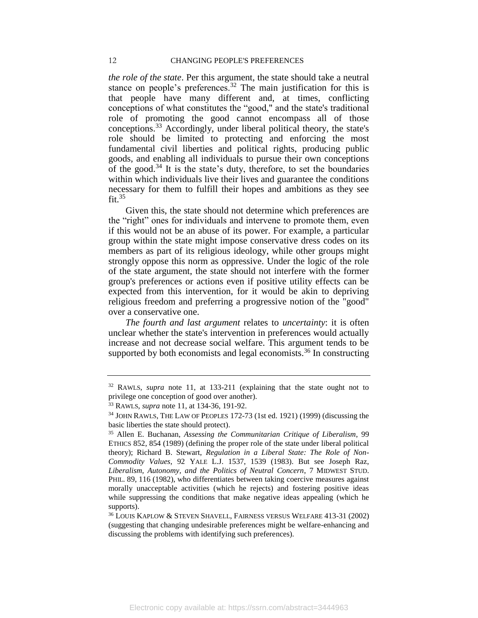#### 12 CHANGING PEOPLE'S PREFERENCES

*the role of the state*. Per this argument, the state should take a neutral stance on people's preferences.<sup>32</sup> The main justification for this is that people have many different and, at times, conflicting conceptions of what constitutes the "good," and the state's traditional role of promoting the good cannot encompass all of those conceptions.<sup>33</sup> Accordingly, under liberal political theory, the state's role should be limited to protecting and enforcing the most fundamental civil liberties and political rights, producing public goods, and enabling all individuals to pursue their own conceptions of the good.<sup>34</sup> It is the state's duty, therefore, to set the boundaries within which individuals live their lives and guarantee the conditions necessary for them to fulfill their hopes and ambitions as they see  $fit.$ <sup>35</sup>

Given this, the state should not determine which preferences are the "right" ones for individuals and intervene to promote them, even if this would not be an abuse of its power. For example, a particular group within the state might impose conservative dress codes on its members as part of its religious ideology, while other groups might strongly oppose this norm as oppressive. Under the logic of the role of the state argument, the state should not interfere with the former group's preferences or actions even if positive utility effects can be expected from this intervention, for it would be akin to depriving religious freedom and preferring a progressive notion of the "good" over a conservative one.

*The fourth and last argument* relates to *uncertainty*: it is often unclear whether the state's intervention in preferences would actually increase and not decrease social welfare. This argument tends to be supported by both economists and legal economists.<sup>36</sup> In constructing

<sup>32</sup> RAWLS, *supra* note [11,](#page-5-0) at 133-211 (explaining that the state ought not to privilege one conception of good over another).

<sup>33</sup> RAWLS, *supra* note [11,](#page-5-0) at 134-36, 191-92.

<sup>&</sup>lt;sup>34</sup> JOHN RAWLS, THE LAW OF PEOPLES 172-73 (1st ed. 1921) (1999) (discussing the basic liberties the state should protect).

<sup>35</sup> Allen E. Buchanan, *Assessing the Communitarian Critique of Liberalism*, 99 ETHICS 852, 854 (1989) (defining the proper role of the state under liberal political theory); Richard B. Stewart, *Regulation in a Liberal State: The Role of Non-Commodity Values*, 92 YALE L.J. 1537, 1539 (1983). But see Joseph Raz, *Liberalism, Autonomy, and the Politics of Neutral Concern*, 7 MIDWEST STUD. PHIL. 89, 116 (1982), who differentiates between taking coercive measures against morally unacceptable activities (which he rejects) and fostering positive ideas while suppressing the conditions that make negative ideas appealing (which he supports).

<sup>36</sup> LOUIS KAPLOW & STEVEN SHAVELL, FAIRNESS VERSUS WELFARE 413-31 (2002) (suggesting that changing undesirable preferences might be welfare-enhancing and discussing the problems with identifying such preferences).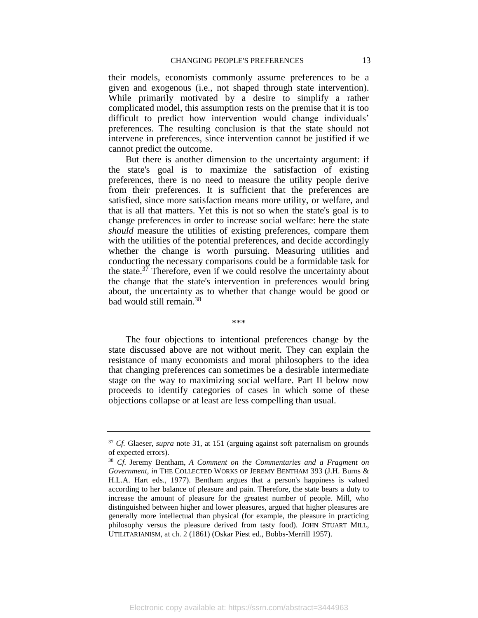their models, economists commonly assume preferences to be a given and exogenous (i.e., not shaped through state intervention). While primarily motivated by a desire to simplify a rather complicated model, this assumption rests on the premise that it is too difficult to predict how intervention would change individuals' preferences. The resulting conclusion is that the state should not intervene in preferences, since intervention cannot be justified if we cannot predict the outcome.

But there is another dimension to the uncertainty argument: if the state's goal is to maximize the satisfaction of existing preferences, there is no need to measure the utility people derive from their preferences. It is sufficient that the preferences are satisfied, since more satisfaction means more utility, or welfare, and that is all that matters. Yet this is not so when the state's goal is to change preferences in order to increase social welfare: here the state *should* measure the utilities of existing preferences, compare them with the utilities of the potential preferences, and decide accordingly whether the change is worth pursuing. Measuring utilities and conducting the necessary comparisons could be a formidable task for the state.<sup>37</sup> Therefore, even if we could resolve the uncertainty about the change that the state's intervention in preferences would bring about, the uncertainty as to whether that change would be good or bad would still remain.<sup>38</sup>

\*\*\*

The four objections to intentional preferences change by the state discussed above are not without merit. They can explain the resistance of many economists and moral philosophers to the idea that changing preferences can sometimes be a desirable intermediate stage on the way to maximizing social welfare. Part II below now proceeds to identify categories of cases in which some of these objections collapse or at least are less compelling than usual.

<sup>37</sup> *Cf.* Glaeser, *supra* note [31,](#page-11-0) at 151 (arguing against soft paternalism on grounds of expected errors).

<sup>38</sup> *Cf.* Jeremy Bentham, *A Comment on the Commentaries and a Fragment on Government*, *in* THE COLLECTED WORKS OF JEREMY BENTHAM 393 (J.H. Burns & H.L.A. Hart eds., 1977). Bentham argues that a person's happiness is valued according to her balance of pleasure and pain. Therefore, the state bears a duty to increase the amount of pleasure for the greatest number of people. Mill, who distinguished between higher and lower pleasures, argued that higher pleasures are generally more intellectual than physical (for example, the pleasure in practicing philosophy versus the pleasure derived from tasty food). JOHN STUART MILL, UTILITARIANISM, at ch. 2 (1861) (Oskar Piest ed., Bobbs-Merrill 1957).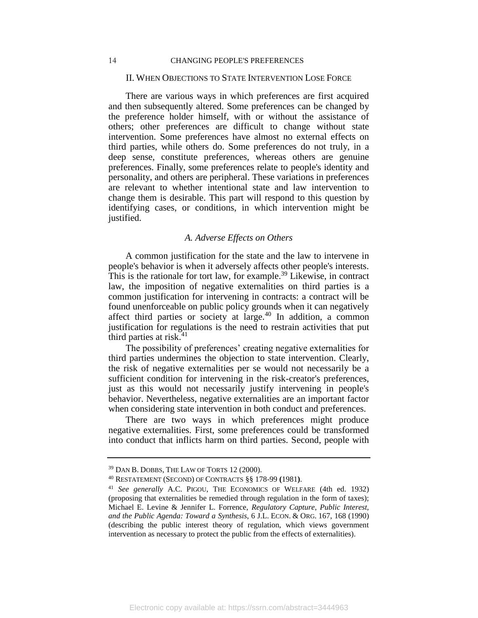#### II. WHEN OBJECTIONS TO STATE INTERVENTION LOSE FORCE

<span id="page-14-0"></span>There are various ways in which preferences are first acquired and then subsequently altered. Some preferences can be changed by the preference holder himself, with or without the assistance of others; other preferences are difficult to change without state intervention. Some preferences have almost no external effects on third parties, while others do. Some preferences do not truly, in a deep sense, constitute preferences, whereas others are genuine preferences. Finally, some preferences relate to people's identity and personality, and others are peripheral. These variations in preferences are relevant to whether intentional state and law intervention to change them is desirable. This part will respond to this question by identifying cases, or conditions, in which intervention might be justified.

#### *A. Adverse Effects on Others*

<span id="page-14-1"></span>A common justification for the state and the law to intervene in people's behavior is when it adversely affects other people's interests. This is the rationale for tort law, for example.<sup>39</sup> Likewise, in contract law, the imposition of negative externalities on third parties is a common justification for intervening in contracts: a contract will be found unenforceable on public policy grounds when it can negatively affect third parties or society at large.<sup>40</sup> In addition, a common justification for regulations is the need to restrain activities that put third parties at risk. $41$ 

The possibility of preferences' creating negative externalities for third parties undermines the objection to state intervention. Clearly, the risk of negative externalities per se would not necessarily be a sufficient condition for intervening in the risk-creator's preferences, just as this would not necessarily justify intervening in people's behavior. Nevertheless, negative externalities are an important factor when considering state intervention in both conduct and preferences.

There are two ways in which preferences might produce negative externalities. First, some preferences could be transformed into conduct that inflicts harm on third parties. Second, people with

<sup>39</sup> DAN B. DOBBS, THE LAW OF TORTS 12 (2000).

<sup>40</sup> RESTATEMENT (SECOND) OF CONTRACTS §§ 178-99 **(**1981**)**.

<sup>41</sup> *See generally* A.C. PIGOU, THE ECONOMICS OF WELFARE (4th ed. 1932) (proposing that externalities be remedied through regulation in the form of taxes); Michael E. Levine & Jennifer L. Forrence, *Regulatory Capture, Public Interest, and the Public Agenda: Toward a Synthesis*, 6 J.L. ECON. & ORG. 167, 168 (1990) (describing the public interest theory of regulation, which views government intervention as necessary to protect the public from the effects of externalities).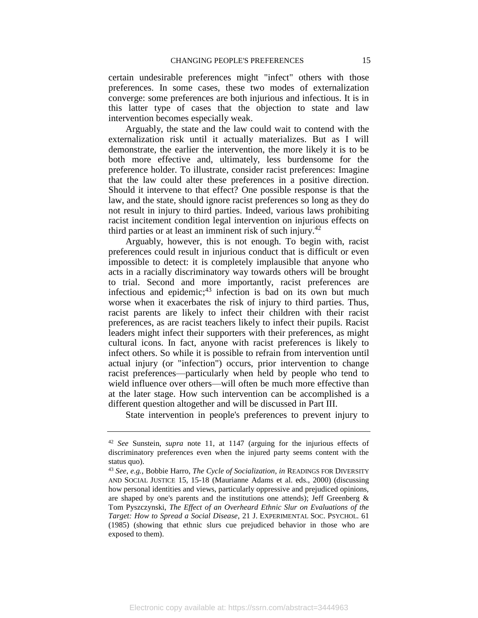certain undesirable preferences might "infect" others with those preferences. In some cases, these two modes of externalization converge: some preferences are both injurious and infectious. It is in this latter type of cases that the objection to state and law intervention becomes especially weak.

Arguably, the state and the law could wait to contend with the externalization risk until it actually materializes. But as I will demonstrate, the earlier the intervention, the more likely it is to be both more effective and, ultimately, less burdensome for the preference holder. To illustrate, consider racist preferences: Imagine that the law could alter these preferences in a positive direction. Should it intervene to that effect? One possible response is that the law, and the state, should ignore racist preferences so long as they do not result in injury to third parties. Indeed, various laws prohibiting racist incitement condition legal intervention on injurious effects on third parties or at least an imminent risk of such injury.<sup>42</sup>

Arguably, however, this is not enough. To begin with, racist preferences could result in injurious conduct that is difficult or even impossible to detect: it is completely implausible that anyone who acts in a racially discriminatory way towards others will be brought to trial. Second and more importantly, racist preferences are infectious and epidemic; $43$  infection is bad on its own but much worse when it exacerbates the risk of injury to third parties. Thus, racist parents are likely to infect their children with their racist preferences, as are racist teachers likely to infect their pupils. Racist leaders might infect their supporters with their preferences, as might cultural icons. In fact, anyone with racist preferences is likely to infect others. So while it is possible to refrain from intervention until actual injury (or "infection") occurs, prior intervention to change racist preferences—particularly when held by people who tend to wield influence over others—will often be much more effective than at the later stage. How such intervention can be accomplished is a different question altogether and will be discussed in Part III.

State intervention in people's preferences to prevent injury to

<sup>42</sup> *See* Sunstein, *supra* note [11,](#page-5-0) at 1147 (arguing for the injurious effects of discriminatory preferences even when the injured party seems content with the status quo).

<sup>43</sup> *See*, *e.g.*, Bobbie Harro, *The Cycle of Socialization*, *in* READINGS FOR DIVERSITY AND SOCIAL JUSTICE 15, 15-18 (Maurianne Adams et al. eds., 2000) (discussing how personal identities and views, particularly oppressive and prejudiced opinions, are shaped by one's parents and the institutions one attends); Jeff Greenberg  $\&$ Tom Pyszczynski, *The Effect of an Overheard Ethnic Slur on Evaluations of the Target: How to Spread a Social Disease*, 21 J. EXPERIMENTAL SOC. PSYCHOL. 61 (1985) (showing that ethnic slurs cue prejudiced behavior in those who are exposed to them).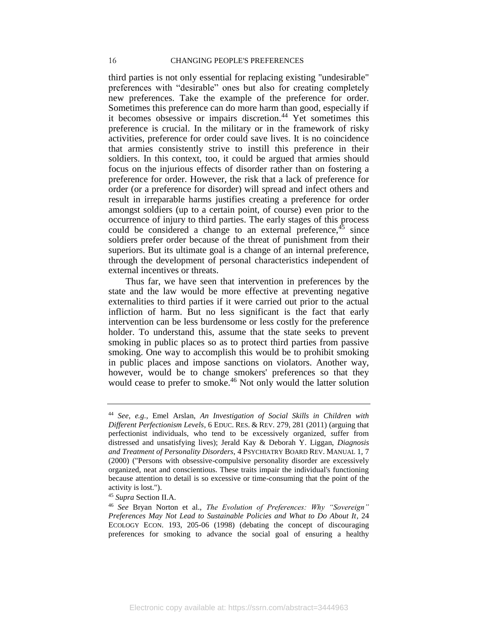third parties is not only essential for replacing existing "undesirable" preferences with "desirable" ones but also for creating completely new preferences. Take the example of the preference for order. Sometimes this preference can do more harm than good, especially if it becomes obsessive or impairs discretion.<sup>44</sup> Yet sometimes this preference is crucial. In the military or in the framework of risky activities, preference for order could save lives. It is no coincidence that armies consistently strive to instill this preference in their soldiers. In this context, too, it could be argued that armies should focus on the injurious effects of disorder rather than on fostering a preference for order. However, the risk that a lack of preference for order (or a preference for disorder) will spread and infect others and result in irreparable harms justifies creating a preference for order amongst soldiers (up to a certain point, of course) even prior to the occurrence of injury to third parties. The early stages of this process could be considered a change to an external preference,  $45$  since soldiers prefer order because of the threat of punishment from their superiors. But its ultimate goal is a change of an internal preference, through the development of personal characteristics independent of external incentives or threats.

Thus far, we have seen that intervention in preferences by the state and the law would be more effective at preventing negative externalities to third parties if it were carried out prior to the actual infliction of harm. But no less significant is the fact that early intervention can be less burdensome or less costly for the preference holder. To understand this, assume that the state seeks to prevent smoking in public places so as to protect third parties from passive smoking. One way to accomplish this would be to prohibit smoking in public places and impose sanctions on violators. Another way, however, would be to change smokers' preferences so that they would cease to prefer to smoke.<sup>46</sup> Not only would the latter solution

<sup>44</sup> *See*, *e.g.*, Emel Arslan, *An Investigation of Social Skills in Children with Different Perfectionism Levels*, 6 EDUC. RES. & REV. 279, 281 (2011) (arguing that perfectionist individuals, who tend to be excessively organized, suffer from distressed and unsatisfying lives); Jerald Kay & Deborah Y. Liggan, *Diagnosis and Treatment of Personality Disorders*, 4 PSYCHIATRY BOARD REV. MANUAL 1, 7 (2000) ("Persons with obsessive-compulsive personality disorder are excessively organized, neat and conscientious. These traits impair the individual's functioning because attention to detail is so excessive or time-consuming that the point of the activity is lost.").

<sup>45</sup> *Supra* Section II.A.

<sup>46</sup> *See* Bryan Norton et al., *The Evolution of Preferences: Why "Sovereign" Preferences May Not Lead to Sustainable Policies and What to Do About It*, 24 ECOLOGY ECON. 193, 205-06 (1998) (debating the concept of discouraging preferences for smoking to advance the social goal of ensuring a healthy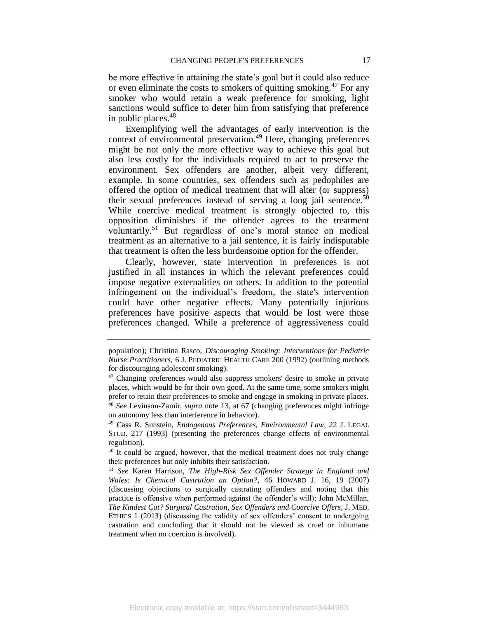be more effective in attaining the state's goal but it could also reduce or even eliminate the costs to smokers of quitting smoking.<sup>47</sup> For any smoker who would retain a weak preference for smoking, light sanctions would suffice to deter him from satisfying that preference in public places.<sup>48</sup>

Exemplifying well the advantages of early intervention is the context of environmental preservation.<sup>49</sup> Here, changing preferences might be not only the more effective way to achieve this goal but also less costly for the individuals required to act to preserve the environment. Sex offenders are another, albeit very different, example. In some countries, sex offenders such as pedophiles are offered the option of medical treatment that will alter (or suppress) their sexual preferences instead of serving a long jail sentence.<sup>50</sup> While coercive medical treatment is strongly objected to, this opposition diminishes if the offender agrees to the treatment voluntarily.<sup>51</sup> But regardless of one's moral stance on medical treatment as an alternative to a jail sentence, it is fairly indisputable that treatment is often the less burdensome option for the offender.

Clearly, however, state intervention in preferences is not justified in all instances in which the relevant preferences could impose negative externalities on others. In addition to the potential infringement on the individual's freedom, the state's intervention could have other negative effects. Many potentially injurious preferences have positive aspects that would be lost were those preferences changed. While a preference of aggressiveness could

population); Christina Rasco, *Discouraging Smoking: Interventions for Pediatric Nurse Practitioners*, 6 J. PEDIATRIC HEALTH CARE 200 (1992) (outlining methods for discouraging adolescent smoking).

<sup>&</sup>lt;sup>47</sup> Changing preferences would also suppress smokers' desire to smoke in private places, which would be for their own good. At the same time, some smokers might prefer to retain their preferences to smoke and engage in smoking in private places. <sup>48</sup> *See* Levinson-Zamir, *supra* note [13,](#page-6-2) at 67 (changing preferences might infringe on autonomy less than interference in behavior).

<sup>49</sup> Cass R. Sunstein, *Endogenous Preferences, Environmental Law*, 22 J. LEGAL STUD. 217 (1993) (presenting the preferences change effects of environmental regulation).

<sup>&</sup>lt;sup>50</sup> It could be argued, however, that the medical treatment does not truly change their preferences but only inhibits their satisfaction.

<sup>51</sup> *See* Karen Harrison, *The High-Risk Sex Offender Strategy in England and Wales: Is Chemical Castration an Option?*, 46 HOWARD J. 16, 19 (2007) (discussing objections to surgically castrating offenders and noting that this practice is offensive when performed against the offender's will); John McMillan, *The Kindest Cut? Surgical Castration, Sex Offenders and Coercive Offers*, J. MED. ETHICS 1 (2013) (discussing the validity of sex offenders' consent to undergoing castration and concluding that it should not be viewed as cruel or inhumane treatment when no coercion is involved).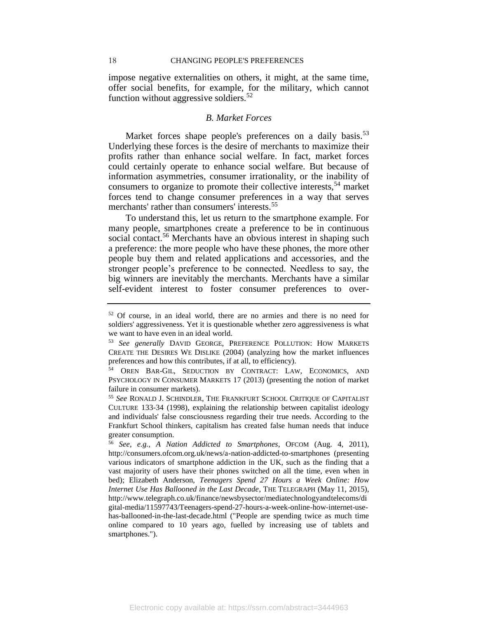impose negative externalities on others, it might, at the same time, offer social benefits, for example, for the military, which cannot function without aggressive soldiers.<sup>52</sup>

### <span id="page-18-1"></span>*B. Market Forces*

<span id="page-18-0"></span>Market forces shape people's preferences on a daily basis.<sup>53</sup> Underlying these forces is the desire of merchants to maximize their profits rather than enhance social welfare. In fact, market forces could certainly operate to enhance social welfare. But because of information asymmetries, consumer irrationality, or the inability of consumers to organize to promote their collective interests,<sup>54</sup> market forces tend to change consumer preferences in a way that serves merchants' rather than consumers' interests.<sup>55</sup>

To understand this, let us return to the smartphone example. For many people, smartphones create a preference to be in continuous social contact.<sup>56</sup> Merchants have an obvious interest in shaping such a preference: the more people who have these phones, the more other people buy them and related applications and accessories, and the stronger people's preference to be connected. Needless to say, the big winners are inevitably the merchants. Merchants have a similar self-evident interest to foster consumer preferences to over-

<sup>52</sup> Of course, in an ideal world, there are no armies and there is no need for soldiers' aggressiveness. Yet it is questionable whether zero aggressiveness is what we want to have even in an ideal world.

<sup>53</sup> *See generally* DAVID GEORGE, PREFERENCE POLLUTION: HOW MARKETS CREATE THE DESIRES WE DISLIKE (2004) (analyzing how the market influences preferences and how this contributes, if at all, to efficiency).

<sup>54</sup> OREN BAR-GIL, S[EDUCTION BY](http://www.amazon.com/Seduction-Contract-Economics-Psychology-Consumer/dp/0199663378/ref=la_B009P5YS6I_1_1?s=books&ie=UTF8&qid=1438356196&sr=1-1) CONTRACT: LAW, ECONOMICS, AND P[SYCHOLOGY IN](http://www.amazon.com/Seduction-Contract-Economics-Psychology-Consumer/dp/0199663378/ref=la_B009P5YS6I_1_1?s=books&ie=UTF8&qid=1438356196&sr=1-1) CONSUMER MARKETS 17 (2013) (presenting the notion of market failure in consumer markets).

<sup>55</sup> *See* RONALD J. SCHINDLER, THE FRANKFURT SCHOOL CRITIQUE OF CAPITALIST CULTURE 133-34 (1998), explaining the relationship between capitalist ideology and individuals' false consciousness regarding their true needs. According to the Frankfurt School thinkers, capitalism has created false human needs that induce greater consumption.

<sup>56</sup> *See*, *e.g.*, *A Nation Addicted to Smartphones*, OFCOM (Aug. 4, 2011), http://consumers.ofcom.org.uk/news/a-nation-addicted-to-smartphones (presenting various indicators of smartphone addiction in the UK, such as the finding that a vast majority of users have their phones switched on all the time, even when in bed); Elizabeth Anderson, *Teenagers Spend 27 Hours a Week Online: How Internet Use Has Ballooned in the Last Decade*, THE TELEGRAPH (May 11, 2015), http://www.telegraph.co.uk/finance/newsbysector/mediatechnologyandtelecoms/di gital-media/11597743/Teenagers-spend-27-hours-a-week-online-how-internet-usehas-ballooned-in-the-last-decade.html ("People are spending twice as much time online compared to 10 years ago, fuelled by increasing use of tablets and smartphones.").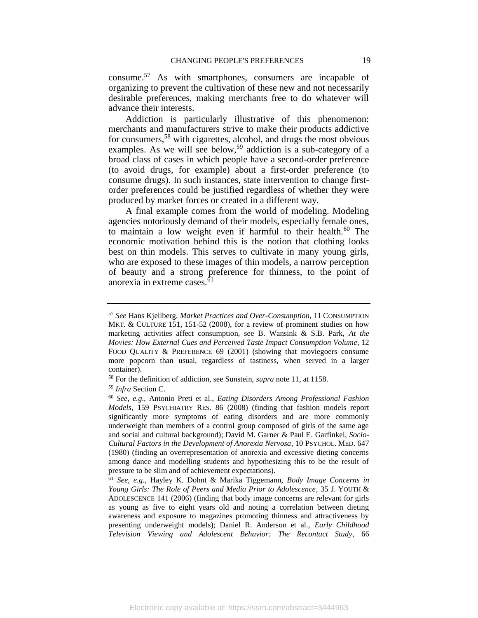consume.<sup>57</sup> As with smartphones, consumers are incapable of organizing to prevent the cultivation of these new and not necessarily desirable preferences, making merchants free to do whatever will advance their interests.

Addiction is particularly illustrative of this phenomenon: merchants and manufacturers strive to make their products addictive for consumers,<sup>58</sup> with cigarettes, alcohol, and drugs the most obvious examples. As we will see below,<sup>59</sup> addiction is a sub-category of a broad class of cases in which people have a second-order preference (to avoid drugs, for example) about a first-order preference (to consume drugs). In such instances, state intervention to change firstorder preferences could be justified regardless of whether they were produced by market forces or created in a different way.

A final example comes from the world of modeling. Modeling agencies notoriously demand of their models, especially female ones, to maintain a low weight even if harmful to their health.<sup>60</sup> The economic motivation behind this is the notion that clothing looks best on thin models. This serves to cultivate in many young girls, who are exposed to these images of thin models, a narrow perception of beauty and a strong preference for thinness, to the point of anorexia in extreme cases.<sup>61</sup>

<sup>57</sup> *See* Hans Kjellberg, *Market Practices and Over-Consumption*, 11 CONSUMPTION MKT. & CULTURE 151, 151-52 (2008), for a review of prominent studies on how marketing activities affect consumption, see B. Wansink & S.B. Park, *At the Movies: How External Cues and Perceived Taste Impact Consumption Volume*, 12 FOOD QUALITY & PREFERENCE 69 (2001) (showing that moviegoers consume more popcorn than usual, regardless of tastiness, when served in a larger container).

<sup>58</sup> For the definition of addiction, see Sunstein, *supra* note [11,](#page-5-0) at 1158.

<sup>59</sup> *Infra* Section C.

<sup>60</sup> *See*, *e.g.*, Antonio Preti et al., *Eating Disorders Among Professional Fashion Models*, 159 PSYCHIATRY RES. 86 (2008) (finding that fashion models report significantly more symptoms of eating disorders and are more commonly underweight than members of a control group composed of girls of the same age and social and cultural background); David M. Garner & Paul E. Garfinkel, *Socio-Cultural Factors in the Development of Anorexia Nervosa*, 10 PSYCHOL. MED. 647 (1980) (finding an overrepresentation of anorexia and excessive dieting concerns among dance and modelling students and hypothesizing this to be the result of pressure to be slim and of achievement expectations).

<sup>61</sup> *See*, *e.g.*, Hayley K. Dohnt & Marika Tiggemann, *Body Image Concerns in Young Girls: The Role of Peers and Media Prior to Adolescence*, 35 J. YOUTH & ADOLESCENCE 141 (2006) (finding that body image concerns are relevant for girls as young as five to eight years old and noting a correlation between dieting awareness and exposure to magazines promoting thinness and attractiveness by presenting underweight models); Daniel R. Anderson et al., *Early Childhood Television Viewing and Adolescent Behavior: The Recontact Study*, 66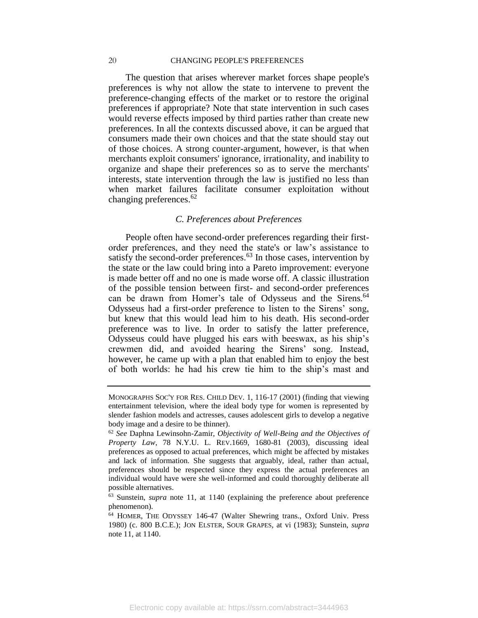#### 20 CHANGING PEOPLE'S PREFERENCES

The question that arises wherever market forces shape people's preferences is why not allow the state to intervene to prevent the preference-changing effects of the market or to restore the original preferences if appropriate? Note that state intervention in such cases would reverse effects imposed by third parties rather than create new preferences. In all the contexts discussed above, it can be argued that consumers made their own choices and that the state should stay out of those choices. A strong counter-argument, however, is that when merchants exploit consumers' ignorance, irrationality, and inability to organize and shape their preferences so as to serve the merchants' interests, state intervention through the law is justified no less than when market failures facilitate consumer exploitation without changing preferences.<sup>62</sup>

## <span id="page-20-1"></span>*C. Preferences about Preferences*

<span id="page-20-0"></span>People often have second-order preferences regarding their firstorder preferences, and they need the state's or law's assistance to satisfy the second-order preferences.<sup>63</sup> In those cases, intervention by the state or the law could bring into a Pareto improvement: everyone is made better off and no one is made worse off. A classic illustration of the possible tension between first- and second-order preferences can be drawn from Homer's tale of Odysseus and the Sirens.<sup>64</sup> Odysseus had a first-order preference to listen to the Sirens' song, but knew that this would lead him to his death. His second-order preference was to live. In order to satisfy the latter preference, Odysseus could have plugged his ears with beeswax, as his ship's crewmen did, and avoided hearing the Sirens' song. Instead, however, he came up with a plan that enabled him to enjoy the best of both worlds: he had his crew tie him to the ship's mast and

Electronic copy available at: https://ssrn.com/abstract=3444963

MONOGRAPHS SOC'Y FOR RES. CHILD DEV. 1, 116-17 (2001) (finding that viewing entertainment television, where the ideal body type for women is represented by slender fashion models and actresses, causes adolescent girls to develop a negative body image and a desire to be thinner).

<sup>62</sup> *See* Daphna Lewinsohn-Zamir, *Objectivity of Well-Being and the Objectives of Property Law*, 78 N.Y.U. L. REV.1669, 1680-81 (2003), discussing ideal preferences as opposed to actual preferences, which might be affected by mistakes and lack of information. She suggests that arguably, ideal, rather than actual, preferences should be respected since they express the actual preferences an individual would have were she well-informed and could thoroughly deliberate all possible alternatives.

<sup>63</sup> Sunstein, *supra* note [11,](#page-5-0) at 1140 (explaining the preference about preference phenomenon).

<sup>64</sup> HOMER, THE ODYSSEY 146-47 (Walter Shewring trans., Oxford Univ. Press 1980) (c. 800 B.C.E.); JON ELSTER, SOUR GRAPES, at vi (1983); Sunstein, *supra*  not[e 11,](#page-5-0) at 1140.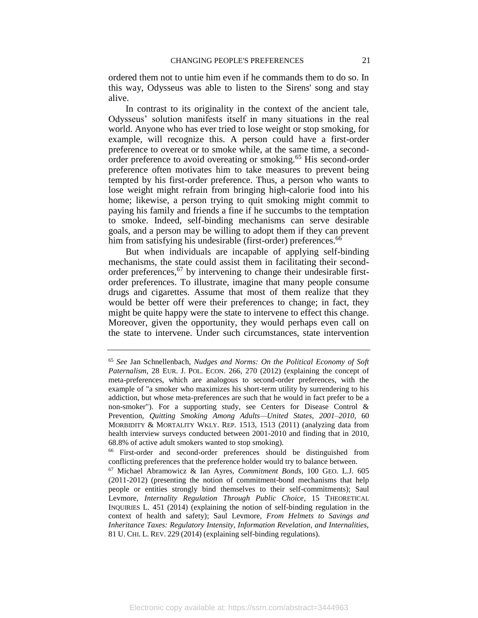ordered them not to untie him even if he commands them to do so. In this way, Odysseus was able to listen to the Sirens' song and stay alive.

In contrast to its originality in the context of the ancient tale, Odysseus' solution manifests itself in many situations in the real world. Anyone who has ever tried to lose weight or stop smoking, for example, will recognize this. A person could have a first-order preference to overeat or to smoke while, at the same time, a secondorder preference to avoid overeating or smoking.<sup>65</sup> His second-order preference often motivates him to take measures to prevent being tempted by his first-order preference. Thus, a person who wants to lose weight might refrain from bringing high-calorie food into his home; likewise, a person trying to quit smoking might commit to paying his family and friends a fine if he succumbs to the temptation to smoke. Indeed, self-binding mechanisms can serve desirable goals, and a person may be willing to adopt them if they can prevent him from satisfying his undesirable (first-order) preferences.<sup>66</sup>

But when individuals are incapable of applying self-binding mechanisms, the state could assist them in facilitating their secondorder preferences,<sup>67</sup> by intervening to change their undesirable firstorder preferences. To illustrate, imagine that many people consume drugs and cigarettes. Assume that most of them realize that they would be better off were their preferences to change; in fact, they might be quite happy were the state to intervene to effect this change. Moreover, given the opportunity, they would perhaps even call on the state to intervene. Under such circumstances, state intervention

<sup>65</sup> *See* Jan Schnellenbach, *Nudges and Norms: On the Political Economy of Soft Paternalism*, 28 EUR. J. POL. ECON. 266, 270 (2012) (explaining the concept of meta-preferences, which are analogous to second-order preferences, with the example of "a smoker who maximizes his short-term utility by surrendering to his addiction, but whose meta-preferences are such that he would in fact prefer to be a non-smoker"). For a supporting study, see Centers for Disease Control & Prevention, *Quitting Smoking Among Adults—United States, 2001–2010*, 60 MORBIDITY & MORTALITY WKLY. REP. 1513, 1513 (2011) (analyzing data from health interview surveys conducted between 2001-2010 and finding that in 2010, 68.8% of active adult smokers wanted to stop smoking).

<sup>66</sup> First-order and second-order preferences should be distinguished from conflicting preferences that the preference holder would try to balance between.

<sup>67</sup> Michael Abramowicz & Ian Ayres, *Commitment Bonds*, 100 GEO. L.J. 605 (2011-2012) (presenting the notion of commitment-bond mechanisms that help people or entities strongly bind themselves to their self-commitments); Saul Levmore, *Internality Regulation Through Public Choice*, 15 THEORETICAL INQUIRIES L. 451 (2014) (explaining the notion of self-binding regulation in the context of health and safety); Saul Levmore, *From Helmets to Savings and Inheritance Taxes: Regulatory Intensity, Information Revelation, and Internalities,* 81 U. CHI. L. REV. 229 (2014) (explaining self-binding regulations).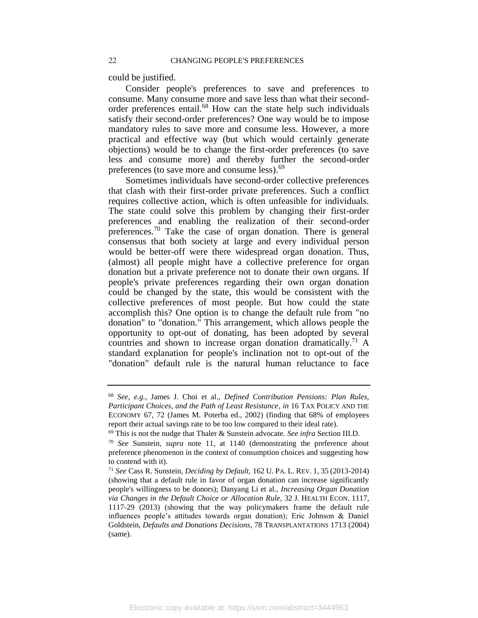could be justified.

Consider people's preferences to save and preferences to consume. Many consume more and save less than what their secondorder preferences entail.<sup>68</sup> How can the state help such individuals satisfy their second-order preferences? One way would be to impose mandatory rules to save more and consume less. However, a more practical and effective way (but which would certainly generate objections) would be to change the first-order preferences (to save less and consume more) and thereby further the second-order preferences (to save more and consume less).<sup>69</sup>

Sometimes individuals have second-order collective preferences that clash with their first-order private preferences. Such a conflict requires collective action, which is often unfeasible for individuals. The state could solve this problem by changing their first-order preferences and enabling the realization of their second-order preferences.<sup>70</sup> Take the case of organ donation. There is general consensus that both society at large and every individual person would be better-off were there widespread organ donation. Thus, (almost) all people might have a collective preference for organ donation but a private preference not to donate their own organs. If people's private preferences regarding their own organ donation could be changed by the state, this would be consistent with the collective preferences of most people. But how could the state accomplish this? One option is to change the default rule from "no donation" to "donation." This arrangement, which allows people the opportunity to opt-out of donating, has been adopted by several countries and shown to increase organ donation dramatically.<sup>71</sup> A standard explanation for people's inclination not to opt-out of the "donation" default rule is the natural human reluctance to face

<span id="page-22-0"></span><sup>68</sup> *See*, *e.g.*, James J. Choi et al., *Defined Contribution Pensions: Plan Rules, Participant Choices, and the Path of Least Resistance*, *in* 16 TAX POLICY AND THE ECONOMY 67, 72 (James M. Poterba ed., 2002) (finding that 68% of employees report their actual savings rate to be too low compared to their ideal rate).

<sup>69</sup> This is not the nudge that Thaler & Sunstein advocate. *See infra* Section III.D.

<sup>70</sup> *See* Sunstein, *supra* note [11](#page-5-0)*,* at 1140 (demonstrating the preference about preference phenomenon in the context of consumption choices and suggesting how to contend with it).

<sup>71</sup> *See* Cass R. Sunstein, *Deciding by Default,* 162 U. PA. L. REV. 1, 35 (2013-2014) (showing that a default rule in favor of organ donation can increase significantly people's willingness to be donors); Danyang Li et al., *Increasing Organ Donation via Changes in the Default Choice or Allocation Rule*, 32 J. HEALTH ECON. 1117, 1117-29 (2013) (showing that the way policymakers frame the default rule influences people's attitudes towards organ donation); Eric Johnson & Daniel Goldstein, *Defaults and Donations Decisions*, 78 TRANSPLANTATIONS 1713 (2004) (same).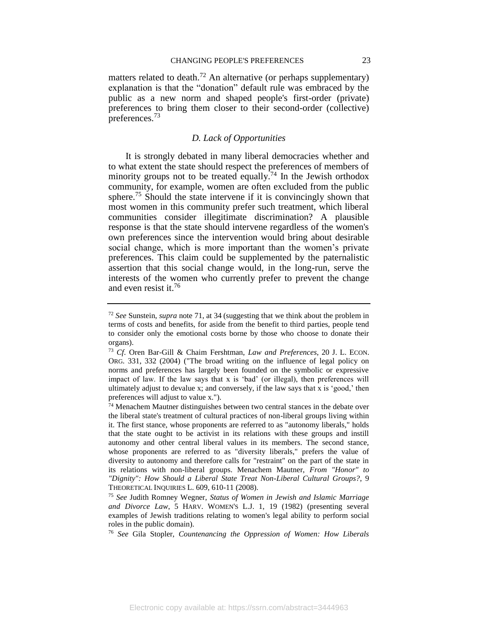matters related to death.<sup>72</sup> An alternative (or perhaps supplementary) explanation is that the "donation" default rule was embraced by the public as a new norm and shaped people's first-order (private) preferences to bring them closer to their second-order (collective) preferences.<sup>73</sup>

## <span id="page-23-1"></span>*D. Lack of Opportunities*

<span id="page-23-0"></span>It is strongly debated in many liberal democracies whether and to what extent the state should respect the preferences of members of minority groups not to be treated equally.<sup>74</sup> In the Jewish orthodox community, for example, women are often excluded from the public sphere.<sup>75</sup> Should the state intervene if it is convincingly shown that most women in this community prefer such treatment, which liberal communities consider illegitimate discrimination? A plausible response is that the state should intervene regardless of the women's own preferences since the intervention would bring about desirable social change, which is more important than the women's private preferences. This claim could be supplemented by the paternalistic assertion that this social change would, in the long-run, serve the interests of the women who currently prefer to prevent the change and even resist it.<sup>76</sup>

<sup>72</sup> *See* Sunstein, *supra* note [71,](#page-22-0) at 34 (suggesting that we think about the problem in terms of costs and benefits, for aside from the benefit to third parties, people tend to consider only the emotional costs borne by those who choose to donate their organs).

<sup>73</sup> *Cf*. Oren Bar-Gill & Chaim Fershtman, *Law and Preferences*, 20 J. L. ECON. ORG. 331, 332 (2004) ("The broad writing on the influence of legal policy on norms and preferences has largely been founded on the symbolic or expressive impact of law. If the law says that x is 'bad' (or illegal), then preferences will ultimately adjust to devalue x; and conversely, if the law says that x is 'good,' then preferences will adjust to value x.").

 $74$  Menachem Mautner distinguishes between two central stances in the debate over the liberal state's treatment of cultural practices of non-liberal groups living within it. The first stance, whose proponents are referred to as "autonomy liberals," holds that the state ought to be activist in its relations with these groups and instill autonomy and other central liberal values in its members. The second stance, whose proponents are referred to as "diversity liberals," prefers the value of diversity to autonomy and therefore calls for "restraint" on the part of the state in its relations with non-liberal groups. Menachem Mautner, *From "Honor" to "Dignity": How Should a Liberal State Treat Non-Liberal Cultural Groups?*, 9 THEORETICAL INQUIRIES L. 609, 610-11 (2008).

<sup>75</sup> *See* Judith Romney Wegner, *Status of Women in Jewish and Islamic Marriage and Divorce Law*, 5 HARV. WOMEN'S L.J. 1, 19 (1982) (presenting several examples of Jewish traditions relating to women's legal ability to perform social roles in the public domain).

<sup>76</sup> *See* Gila Stopler, *Countenancing the Oppression of Women: How Liberals*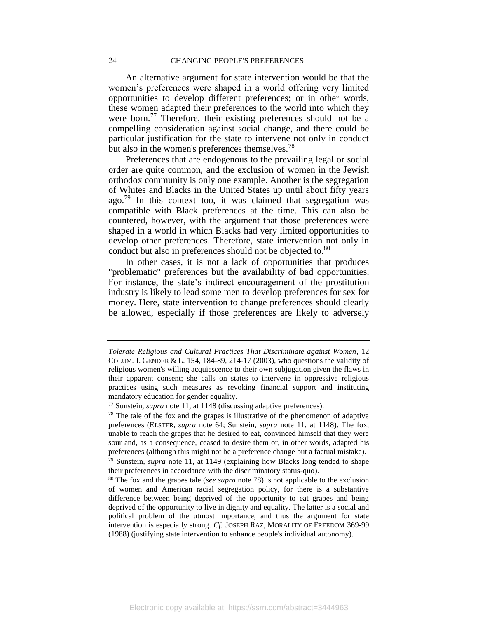An alternative argument for state intervention would be that the women's preferences were shaped in a world offering very limited opportunities to develop different preferences; or in other words, these women adapted their preferences to the world into which they were born.<sup>77</sup> Therefore, their existing preferences should not be a compelling consideration against social change, and there could be particular justification for the state to intervene not only in conduct but also in the women's preferences themselves.<sup>78</sup>

<span id="page-24-0"></span>Preferences that are endogenous to the prevailing legal or social order are quite common, and the exclusion of women in the Jewish orthodox community is only one example. Another is the segregation of Whites and Blacks in the United States up until about fifty years ago.<sup>79</sup> In this context too, it was claimed that segregation was compatible with Black preferences at the time. This can also be countered, however, with the argument that those preferences were shaped in a world in which Blacks had very limited opportunities to develop other preferences. Therefore, state intervention not only in conduct but also in preferences should not be objected to.<sup>80</sup>

In other cases, it is not a lack of opportunities that produces "problematic" preferences but the availability of bad opportunities. For instance, the state's indirect encouragement of the prostitution industry is likely to lead some men to develop preferences for sex for money. Here, state intervention to change preferences should clearly be allowed, especially if those preferences are likely to adversely

*Tolerate Religious and Cultural Practices That Discriminate against Women*, 12 COLUM. J. GENDER & L. 154, 184-89, 214-17 (2003), who questions the validity of religious women's willing acquiescence to their own subjugation given the flaws in their apparent consent; she calls on states to intervene in oppressive religious practices using such measures as revoking financial support and instituting mandatory education for gender equality.

<sup>77</sup> Sunstein, *supra* note [11,](#page-5-0) at 1148 (discussing adaptive preferences).

 $78$  The tale of the fox and the grapes is illustrative of the phenomenon of adaptive preferences (ELSTER, *supra* note [64;](#page-20-1) Sunstein, *supra* note [11,](#page-5-0) at 1148). The fox, unable to reach the grapes that he desired to eat, convinced himself that they were sour and, as a consequence, ceased to desire them or, in other words, adapted his preferences (although this might not be a preference change but a factual mistake).

<sup>79</sup> Sunstein, *supra* note [11,](#page-5-0) at 1149 (explaining how Blacks long tended to shape their preferences in accordance with the discriminatory status-quo).

<sup>80</sup> The fox and the grapes tale (*see supra* note [78\)](#page-24-0) is not applicable to the exclusion of women and American racial segregation policy, for there is a substantive difference between being deprived of the opportunity to eat grapes and being deprived of the opportunity to live in dignity and equality. The latter is a social and political problem of the utmost importance, and thus the argument for state intervention is especially strong. *Cf.* JOSEPH RAZ, MORALITY OF FREEDOM 369-99 (1988) (justifying state intervention to enhance people's individual autonomy).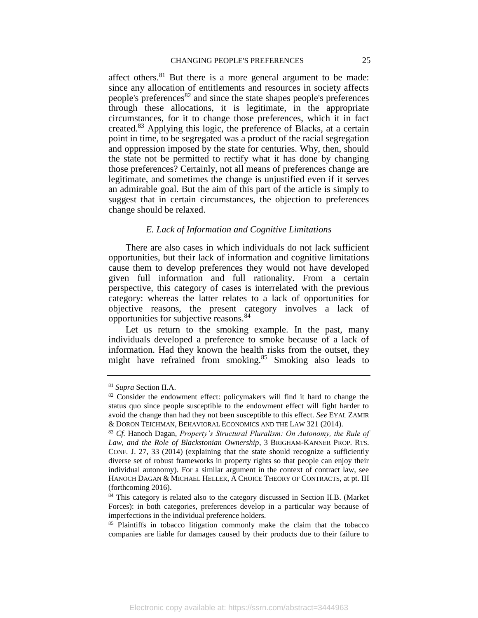<span id="page-25-1"></span>affect others.<sup>81</sup> But there is a more general argument to be made: since any allocation of entitlements and resources in society affects people's preferences $82$  and since the state shapes people's preferences through these allocations, it is legitimate, in the appropriate circumstances, for it to change those preferences, which it in fact created.<sup>83</sup> Applying this logic, the preference of Blacks, at a certain point in time, to be segregated was a product of the racial segregation and oppression imposed by the state for centuries. Why, then, should the state not be permitted to rectify what it has done by changing those preferences? Certainly, not all means of preferences change are legitimate, and sometimes the change is unjustified even if it serves an admirable goal. But the aim of this part of the article is simply to suggest that in certain circumstances, the objection to preferences change should be relaxed.

## *E. Lack of Information and Cognitive Limitations*

<span id="page-25-0"></span>There are also cases in which individuals do not lack sufficient opportunities, but their lack of information and cognitive limitations cause them to develop preferences they would not have developed given full information and full rationality. From a certain perspective, this category of cases is interrelated with the previous category: whereas the latter relates to a lack of opportunities for objective reasons, the present category involves a lack of opportunities for subjective reasons.<sup>84</sup>

Let us return to the smoking example. In the past, many individuals developed a preference to smoke because of a lack of information. Had they known the health risks from the outset, they might have refrained from smoking. $85$  Smoking also leads to

<sup>81</sup> *Supra* Section II.A.

<sup>&</sup>lt;sup>82</sup> Consider the endowment effect: policymakers will find it hard to change the status quo since people susceptible to the endowment effect will fight harder to avoid the change than had they not been susceptible to this effect. *See* EYAL ZAMIR & DORON TEICHMAN, BEHAVIORAL ECONOMICS AND THE LAW 321 (2014).

<sup>83</sup> *Cf.* Hanoch Dagan, *Property's Structural Pluralism: On Autonomy, the Rule of Law, and the Role of Blackstonian Ownership*, 3 BRIGHAM-KANNER PROP. RTS. CONF. J. 27, 33 (2014) (explaining that the state should recognize a sufficiently diverse set of robust frameworks in property rights so that people can enjoy their individual autonomy). For a similar argument in the context of contract law, see HANOCH DAGAN & MICHAEL HELLER, A CHOICE THEORY OF CONTRACTS, at pt. III (forthcoming 2016).

<sup>84</sup> This category is related also to the category discussed in Section II.B. (Market Forces): in both categories, preferences develop in a particular way because of imperfections in the individual preference holders.

<sup>85</sup> Plaintiffs in tobacco litigation commonly make the claim that the tobacco companies are liable for damages caused by their products due to their failure to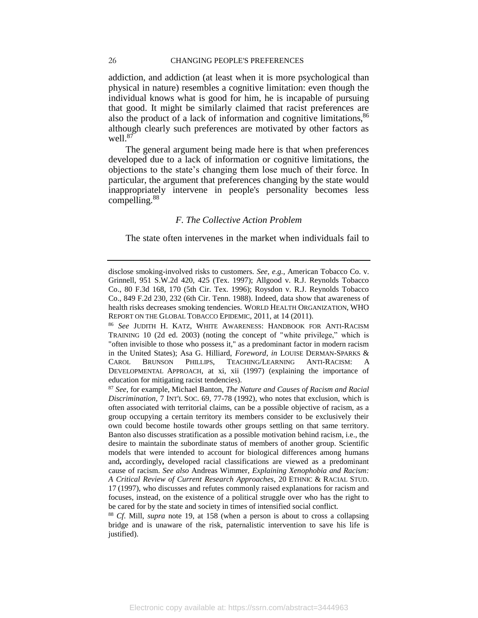#### 26 CHANGING PEOPLE'S PREFERENCES

addiction, and addiction (at least when it is more psychological than physical in nature) resembles a cognitive limitation: even though the individual knows what is good for him, he is incapable of pursuing that good. It might be similarly claimed that racist preferences are also the product of a lack of information and cognitive limitations,<sup>86</sup> although clearly such preferences are motivated by other factors as well. $87$ 

The general argument being made here is that when preferences developed due to a lack of information or cognitive limitations, the objections to the state's changing them lose much of their force. In particular, the argument that preferences changing by the state would inappropriately intervene in people's personality becomes less compelling. $88$ 

## *F. The Collective Action Problem*

<span id="page-26-0"></span>The state often intervenes in the market when individuals fail to

Electronic copy available at: https://ssrn.com/abstract=3444963

disclose smoking-involved risks to customers. *See*, *e.g.*, American Tobacco Co. v. Grinnell, 951 S.W.2d 420, 425 (Tex. 1997); Allgood v. R.J. Reynolds Tobacco Co., 80 F.3d 168, 170 (5th Cir. Tex. 1996); Roysdon v. R.J. Reynolds Tobacco Co., 849 F.2d 230, 232 (6th Cir. Tenn. 1988). Indeed, data show that awareness of health risks decreases smoking tendencies. WORLD HEALTH ORGANIZATION, WHO REPORT ON THE GLOBAL TOBACCO EPIDEMIC, 2011, at 14 (2011).

<sup>86</sup> *See* JUDITH H. KATZ, WHITE AWARENESS: HANDBOOK FOR ANTI-RACISM TRAINING 10 (2d ed. 2003) (noting the concept of "white privilege," which is "often invisible to those who possess it," as a predominant factor in modern racism in the United States); Asa G. Hilliard, *Foreword*, *in* LOUISE DERMAN-SPARKS & CAROL BRUNSON PHILLIPS, TEACHING/LEARNING ANTI-RACISM: A DEVELOPMENTAL APPROACH, at xi, xii (1997) (explaining the importance of education for mitigating racist tendencies).

<sup>87</sup> *See*, for example, Michael Banton, *The Nature and Causes of Racism and Racial Discrimination*, 7 INT'L SOC. 69, 77-78 (1992), who notes that exclusion, which is often associated with territorial claims, can be a possible objective of racism, as a group occupying a certain territory its members consider to be exclusively their own could become hostile towards other groups settling on that same territory. Banton also discusses stratification as a possible motivation behind racism, i.e., the desire to maintain the subordinate status of members of another group. Scientific models that were intended to account for biological differences among humans and**,** accordingly**,** developed racial classifications are viewed as a predominant cause of racism. *See also* Andreas Wimmer, *Explaining Xenophobia and Racism: A Critical Review of Current Research Approaches*, 20 ETHNIC & RACIAL STUD. 17 (1997), who discusses and refutes commonly raised explanations for racism and focuses, instead, on the existence of a political struggle over who has the right to be cared for by the state and society in times of intensified social conflict.

<sup>88</sup> *Cf*. Mill, *supra* note [19,](#page-9-1) at 158 (when a person is about to cross a collapsing bridge and is unaware of the risk, paternalistic intervention to save his life is justified).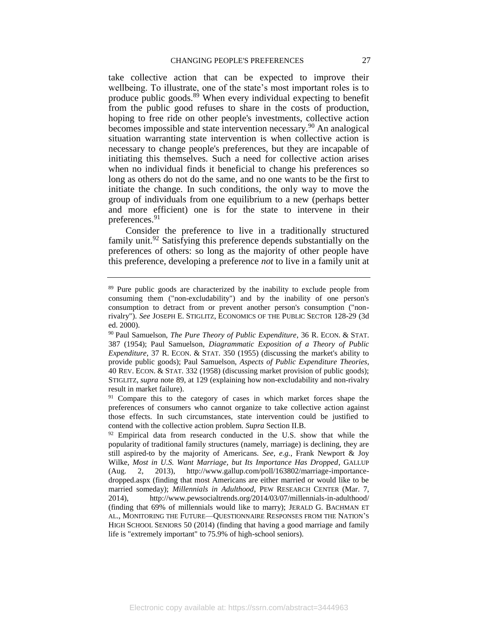<span id="page-27-0"></span>take collective action that can be expected to improve their wellbeing. To illustrate, one of the state's most important roles is to produce public goods.<sup>89</sup> When every individual expecting to benefit from the public good refuses to share in the costs of production, hoping to free ride on other people's investments, collective action becomes impossible and state intervention necessary.<sup>90</sup> An analogical situation warranting state intervention is when collective action is necessary to change people's preferences, but they are incapable of initiating this themselves. Such a need for collective action arises when no individual finds it beneficial to change his preferences so long as others do not do the same, and no one wants to be the first to initiate the change. In such conditions, the only way to move the group of individuals from one equilibrium to a new (perhaps better and more efficient) one is for the state to intervene in their preferences.<sup>91</sup>

Consider the preference to live in a traditionally structured family unit.<sup>92</sup> Satisfying this preference depends substantially on the preferences of others: so long as the majority of other people have this preference, developing a preference *not* to live in a family unit at

<sup>&</sup>lt;sup>89</sup> Pure public goods are characterized by the inability to exclude people from consuming them ("non-excludability") and by the inability of one person's consumption to detract from or prevent another person's consumption ("nonrivalry"). *See* JOSEPH E. STIGLITZ, ECONOMICS OF THE PUBLIC SECTOR 128-29 (3d ed. 2000).

<sup>90</sup> Paul Samuelson, *The Pure Theory of Public Expenditure*, 36 R. ECON. & STAT. 387 (1954); Paul Samuelson, *Diagrammatic Exposition of a Theory of Public Expenditure*, 37 R. ECON. & STAT. 350 (1955) (discussing the market's ability to provide public goods); Paul Samuelson, *Aspects of Public Expenditure Theories*, 40 REV. ECON. & STAT. 332 (1958) (discussing market provision of public goods); STIGLITZ, *supra* note [89,](#page-27-0) at 129 (explaining how non-excludability and non-rivalry result in market failure).

<sup>&</sup>lt;sup>91</sup> Compare this to the category of cases in which market forces shape the preferences of consumers who cannot organize to take collective action against those effects. In such circumstances, state intervention could be justified to contend with the collective action problem. *Supra* Section II.B.

 $92$  Empirical data from research conducted in the U.S. show that while the popularity of traditional family structures (namely, marriage) is declining, they are still aspired-to by the majority of Americans. *See*, *e.g.*, Frank Newport & Joy Wilke, *Most in U.S. Want Marriage, but Its Importance Has Dropped*, GALLUP (Aug. 2, 2013), http://www.gallup.com/poll/163802/marriage-importancedropped.aspx (finding that most Americans are either married or would like to be married someday); *Millennials in Adulthood*, PEW RESEARCH CENTER (Mar. 7, 2014), http://www.pewsocialtrends.org/2014/03/07/millennials-in-adulthood/ (finding that 69% of millennials would like to marry); JERALD G. BACHMAN ET AL., MONITORING THE FUTURE—QUESTIONNAIRE RESPONSES FROM THE NATION'S HIGH SCHOOL SENIORS 50 (2014) (finding that having a good marriage and family life is "extremely important" to 75.9% of high-school seniors).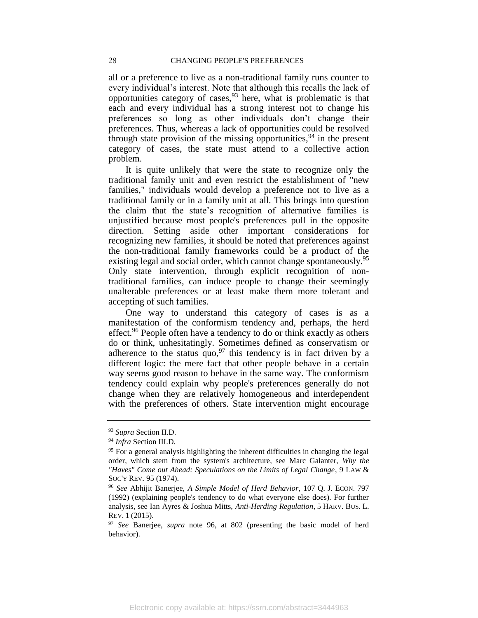all or a preference to live as a non-traditional family runs counter to every individual's interest. Note that although this recalls the lack of opportunities category of cases,  $93$  here, what is problematic is that each and every individual has a strong interest not to change his preferences so long as other individuals don't change their preferences. Thus, whereas a lack of opportunities could be resolved through state provision of the missing opportunities,  $94$  in the present category of cases, the state must attend to a collective action problem.

It is quite unlikely that were the state to recognize only the traditional family unit and even restrict the establishment of "new families," individuals would develop a preference not to live as a traditional family or in a family unit at all. This brings into question the claim that the state's recognition of alternative families is unjustified because most people's preferences pull in the opposite direction. Setting aside other important considerations for recognizing new families, it should be noted that preferences against the non-traditional family frameworks could be a product of the existing legal and social order, which cannot change spontaneously.<sup>95</sup> Only state intervention, through explicit recognition of nontraditional families, can induce people to change their seemingly unalterable preferences or at least make them more tolerant and accepting of such families.

<span id="page-28-0"></span>One way to understand this category of cases is as a manifestation of the conformism tendency and, perhaps, the herd effect.<sup>96</sup> People often have a tendency to do or think exactly as others do or think, unhesitatingly. Sometimes defined as conservatism or adherence to the status quo,  $97$  this tendency is in fact driven by a different logic: the mere fact that other people behave in a certain way seems good reason to behave in the same way. The conformism tendency could explain why people's preferences generally do not change when they are relatively homogeneous and interdependent with the preferences of others. State intervention might encourage

<sup>93</sup> *Supra* Section II.D.

<sup>94</sup> *Infra* Section III.D.

 $95$  For a general analysis highlighting the inherent difficulties in changing the legal order, which stem from the system's architecture, see Marc Galanter, *Why the "Haves" Come out Ahead: Speculations on the Limits of Legal Change*, 9 LAW & SOC'Y REV. 95 (1974).

<sup>96</sup> *See* Abhijit Banerjee, *A Simple Model of Herd Behavior*, 107 Q. J. ECON. 797 (1992) (explaining people's tendency to do what everyone else does). For further analysis, see Ian Ayres & Joshua Mitts, *Anti-Herding Regulation*, 5 HARV. BUS. L. REV. 1 (2015).

<sup>97</sup> *See* Banerjee, *supra* note [96,](#page-28-0) at 802 (presenting the basic model of herd behavior).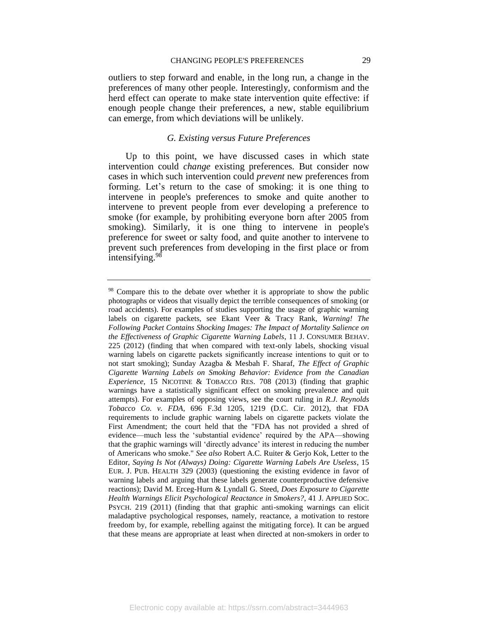outliers to step forward and enable, in the long run, a change in the preferences of many other people. Interestingly, conformism and the herd effect can operate to make state intervention quite effective: if enough people change their preferences, a new, stable equilibrium can emerge, from which deviations will be unlikely.

## *G. Existing versus Future Preferences*

<span id="page-29-0"></span>Up to this point, we have discussed cases in which state intervention could *change* existing preferences. But consider now cases in which such intervention could *prevent* new preferences from forming. Let's return to the case of smoking: it is one thing to intervene in people's preferences to smoke and quite another to intervene to prevent people from ever developing a preference to smoke (for example, by prohibiting everyone born after 2005 from smoking). Similarly, it is one thing to intervene in people's preference for sweet or salty food, and quite another to intervene to prevent such preferences from developing in the first place or from intensifying.<sup>98</sup>

<sup>&</sup>lt;sup>98</sup> Compare this to the debate over whether it is appropriate to show the public photographs or videos that visually depict the terrible consequences of smoking (or road accidents). For examples of studies supporting the usage of graphic warning labels on cigarette packets, see Ekant Veer & Tracy Rank, *Warning! The Following Packet Contains Shocking Images: The Impact of Mortality Salience on the Effectiveness of Graphic Cigarette Warning Labels*, 11 J. CONSUMER BEHAV. 225 (2012) (finding that when compared with text-only labels, shocking visual warning labels on cigarette packets significantly increase intentions to quit or to not start smoking); Sunday Azagba & Mesbah F. Sharaf, *The Effect of Graphic Cigarette Warning Labels on Smoking Behavior: Evidence from the Canadian Experience*, 15 NICOTINE & TOBACCO RES. 708 (2013) (finding that graphic warnings have a statistically significant effect on smoking prevalence and quit attempts). For examples of opposing views, see the court ruling in *R.J. Reynolds Tobacco Co. v. FDA*, 696 F.3d 1205, 1219 (D.C. Cir. 2012), that FDA requirements to include graphic warning labels on cigarette packets violate the First Amendment; the court held that the "FDA has not provided a shred of evidence—much less the 'substantial evidence' required by the APA—showing that the graphic warnings will 'directly advance' its interest in reducing the number of Americans who smoke." *See also* Robert A.C. Ruiter & Gerjo Kok, Letter to the Editor, *Saying Is Not (Always) Doing: Cigarette Warning Labels Are Useless*, 15 EUR. J. PUB. HEALTH 329 (2003) (questioning the existing evidence in favor of warning labels and arguing that these labels generate counterproductive defensive reactions); David M. Erceg-Hurn & Lyndall G. Steed, *Does Exposure to Cigarette Health Warnings Elicit Psychological Reactance in Smokers?*, 41 J. APPLIED SOC. PSYCH. 219 (2011) (finding that that graphic anti-smoking warnings can elicit maladaptive psychological responses, namely, reactance, a motivation to restore freedom by, for example, rebelling against the mitigating force). It can be argued that these means are appropriate at least when directed at non-smokers in order to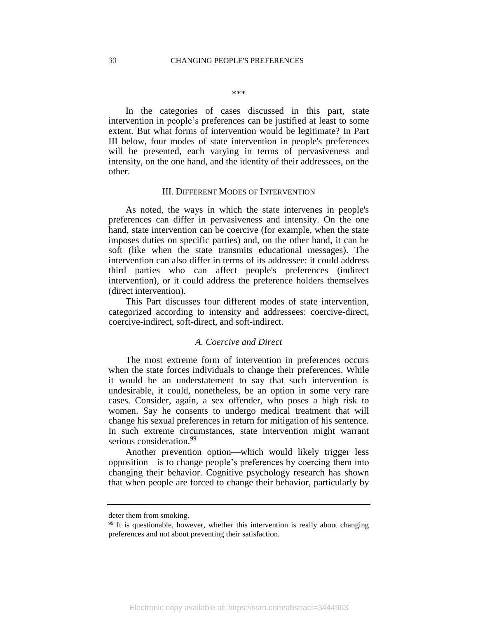\*\*\*

In the categories of cases discussed in this part, state intervention in people's preferences can be justified at least to some extent. But what forms of intervention would be legitimate? In Part III below, four modes of state intervention in people's preferences will be presented, each varying in terms of pervasiveness and intensity, on the one hand, and the identity of their addressees, on the other.

#### III. DIFFERENT MODES OF INTERVENTION

<span id="page-30-0"></span>As noted, the ways in which the state intervenes in people's preferences can differ in pervasiveness and intensity. On the one hand, state intervention can be coercive (for example, when the state imposes duties on specific parties) and, on the other hand, it can be soft (like when the state transmits educational messages). The intervention can also differ in terms of its addressee: it could address third parties who can affect people's preferences (indirect intervention), or it could address the preference holders themselves (direct intervention).

This Part discusses four different modes of state intervention, categorized according to intensity and addressees: coercive-direct, coercive-indirect, soft-direct, and soft-indirect.

#### *A. Coercive and Direct*

<span id="page-30-1"></span>The most extreme form of intervention in preferences occurs when the state forces individuals to change their preferences. While it would be an understatement to say that such intervention is undesirable, it could, nonetheless, be an option in some very rare cases. Consider, again, a sex offender, who poses a high risk to women. Say he consents to undergo medical treatment that will change his sexual preferences in return for mitigation of his sentence. In such extreme circumstances, state intervention might warrant serious consideration.<sup>99</sup>

Another prevention option—which would likely trigger less opposition—is to change people's preferences by coercing them into changing their behavior. Cognitive psychology research has shown that when people are forced to change their behavior, particularly by

deter them from smoking.

<sup>&</sup>lt;sup>99</sup> It is questionable, however, whether this intervention is really about changing preferences and not about preventing their satisfaction.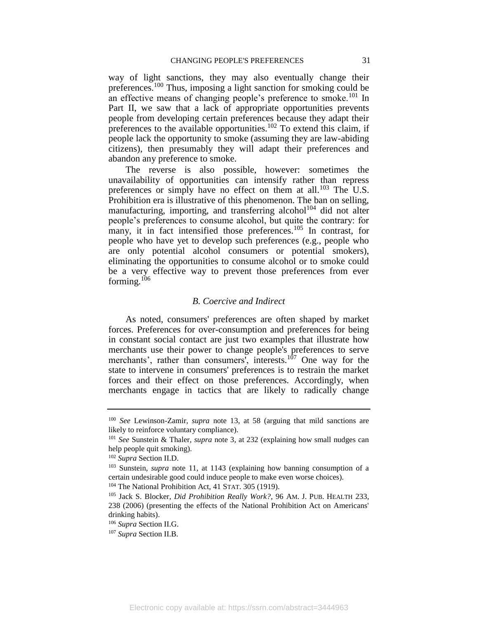way of light sanctions, they may also eventually change their preferences.<sup>100</sup> Thus, imposing a light sanction for smoking could be an effective means of changing people's preference to smoke.<sup>101</sup> In Part II, we saw that a lack of appropriate opportunities prevents people from developing certain preferences because they adapt their preferences to the available opportunities.<sup>102</sup> To extend this claim, if people lack the opportunity to smoke (assuming they are law-abiding citizens), then presumably they will adapt their preferences and abandon any preference to smoke.

The reverse is also possible, however: sometimes the unavailability of opportunities can intensify rather than repress preferences or simply have no effect on them at all.<sup>103</sup> The U.S. Prohibition era is illustrative of this phenomenon. The ban on selling, manufacturing, importing, and transferring alcohol<sup>104</sup> did not alter people's preferences to consume alcohol, but quite the contrary: for many, it in fact intensified those preferences.<sup>105</sup> In contrast, for people who have yet to develop such preferences (e.g., people who are only potential alcohol consumers or potential smokers), eliminating the opportunities to consume alcohol or to smoke could be a very effective way to prevent those preferences from ever forming. $106$ 

### *B. Coercive and Indirect*

<span id="page-31-0"></span>As noted, consumers' preferences are often shaped by market forces. Preferences for over-consumption and preferences for being in constant social contact are just two examples that illustrate how merchants use their power to change people's preferences to serve merchants', rather than consumers', interests.<sup>107</sup> One way for the state to intervene in consumers' preferences is to restrain the market forces and their effect on those preferences. Accordingly, when merchants engage in tactics that are likely to radically change

<sup>104</sup> The National Prohibition Act, 41 STAT. 305 (1919).

<sup>100</sup> *See* Lewinson-Zamir, *supra* note [13,](#page-6-2) at 58 (arguing that mild sanctions are likely to reinforce voluntary compliance).

<sup>101</sup> *See* Sunstein & Thaler, *supra* note [3,](#page-3-0) at 232 (explaining how small nudges can help people quit smoking).

<sup>102</sup> *Supra* Section II.D.

<sup>103</sup> Sunstein, *supra* note [11](#page-5-0)*,* at 1143 (explaining how banning consumption of a certain undesirable good could induce people to make even worse choices).

<sup>105</sup> Jack S. Blocker, *Did Prohibition Really Work?*, 96 AM. J. PUB. HEALTH 233, 238 (2006) (presenting the effects of the National Prohibition Act on Americans' drinking habits).

<sup>106</sup> *Supra* Section II.G.

<sup>107</sup> *Supra* Section II.B.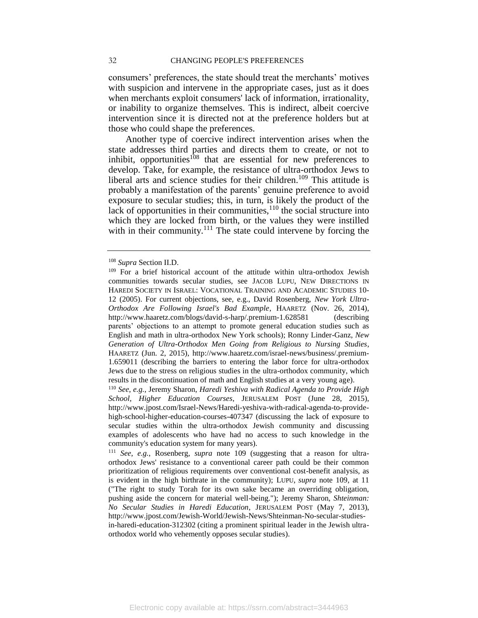consumers' preferences, the state should treat the merchants' motives with suspicion and intervene in the appropriate cases, just as it does when merchants exploit consumers' lack of information, irrationality, or inability to organize themselves. This is indirect, albeit coercive intervention since it is directed not at the preference holders but at those who could shape the preferences.

<span id="page-32-0"></span>Another type of coercive indirect intervention arises when the state addresses third parties and directs them to create, or not to inhibit, opportunities<sup>108</sup> that are essential for new preferences to develop. Take, for example, the resistance of ultra-orthodox Jews to liberal arts and science studies for their children.<sup>109</sup> This attitude is probably a manifestation of the parents' genuine preference to avoid exposure to secular studies; this, in turn, is likely the product of the lack of opportunities in their communities, $110$  the social structure into which they are locked from birth, or the values they were instilled with in their community. $1^{11}$  The state could intervene by forcing the

<sup>108</sup> *Supra* Section II.D.

<sup>&</sup>lt;sup>109</sup> For a brief historical account of the attitude within ultra-orthodox Jewish communities towards secular studies, see JACOB LUPU, NEW DIRECTIONS IN HAREDI SOCIETY IN ISRAEL: VOCATIONAL TRAINING AND ACADEMIC STUDIES 10- 12 (2005). For current objections, see, e.g., David Rosenberg, *New York Ultra-Orthodox Are Following Israel's Bad Example*, HAARETZ (Nov. 26, 2014), http://www.haaretz.com/blogs/david-s-harp/.premium-1.628581 (describing parents' objections to an attempt to promote general education studies such as English and math in ultra-orthodox New York schools); Ronny Linder-Ganz, *New Generation of Ultra-Orthodox Men Going from Religious to Nursing Studies*, HAARETZ (Jun. 2, 2015), http://www.haaretz.com/israel-news/business/.premium-1.659011 (describing the barriers to entering the labor force for ultra-orthodox Jews due to the stress on religious studies in the ultra-orthodox community, which results in the discontinuation of math and English studies at a very young age).

<sup>110</sup> *See*, *e.g.*, Jeremy Sharon, *Haredi Yeshiva with Radical Agenda to Provide High School, Higher Education Courses*, JERUSALEM POST (June 28, 2015), http://www.jpost.com/Israel-News/Haredi-yeshiva-with-radical-agenda-to-providehigh-school-higher-education-courses-407347 (discussing the lack of exposure to secular studies within the ultra-orthodox Jewish community and discussing examples of adolescents who have had no access to such knowledge in the community's education system for many years).

<sup>111</sup> *See*, *e.g.*, Rosenberg, *supra* note [109](#page-32-0) (suggesting that a reason for ultraorthodox Jews' resistance to a conventional career path could be their common prioritization of religious requirements over conventional cost-benefit analysis, as is evident in the high birthrate in the community); LUPU, *supra* note [109,](#page-32-0) at 11 ("The right to study Torah for its own sake became an overriding obligation, pushing aside the concern for material well-being."); Jeremy Sharon, *Shteinman: No Secular Studies in Haredi Education*, JERUSALEM POST (May 7, 2013), http://www.jpost.com/Jewish-World/Jewish-News/Shteinman-No-secular-studiesin-haredi-education-312302 (citing a prominent spiritual leader in the Jewish ultraorthodox world who vehemently opposes secular studies).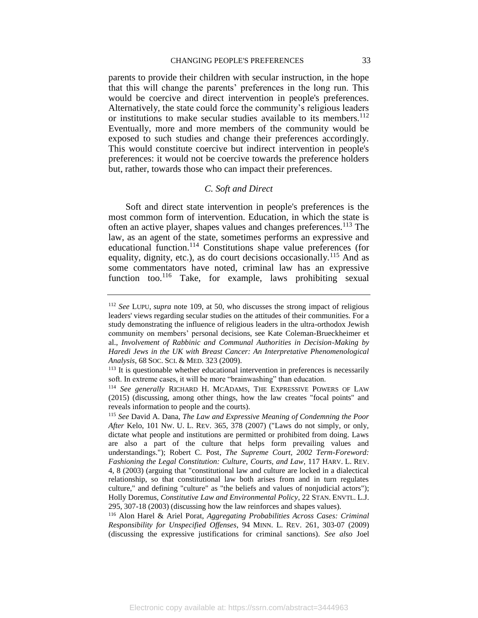parents to provide their children with secular instruction, in the hope that this will change the parents' preferences in the long run. This would be coercive and direct intervention in people's preferences. Alternatively, the state could force the community's religious leaders or institutions to make secular studies available to its members.<sup>112</sup> Eventually, more and more members of the community would be exposed to such studies and change their preferences accordingly. This would constitute coercive but indirect intervention in people's preferences: it would not be coercive towards the preference holders but, rather, towards those who can impact their preferences.

## *C. Soft and Direct*

<span id="page-33-0"></span>Soft and direct state intervention in people's preferences is the most common form of intervention. Education, in which the state is often an active player, shapes values and changes preferences.<sup>113</sup> The law, as an agent of the state, sometimes performs an expressive and educational function.<sup>114</sup> Constitutions shape value preferences (for equality, dignity, etc.), as do court decisions occasionally.<sup>115</sup> And as some commentators have noted, criminal law has an expressive function too.<sup>116</sup> Take, for example, laws prohibiting sexual

<sup>112</sup> *See* LUPU, *supra* note [109,](#page-32-0) at 50, who discusses the strong impact of religious leaders' views regarding secular studies on the attitudes of their communities. For a study demonstrating the influence of religious leaders in the ultra-orthodox Jewish community on members' personal decisions, see Kate Coleman-Brueckheimer et al., *Involvement of Rabbinic and Communal Authorities in Decision-Making by Haredi Jews in the UK with Breast Cancer: An Interpretative Phenomenological Analysis*, 68 SOC. SCI. & MED. 323 (2009).

<sup>&</sup>lt;sup>113</sup> It is questionable whether educational intervention in preferences is necessarily soft. In extreme cases, it will be more "brainwashing" than education.

<sup>114</sup> *See generally* RICHARD H. MCADAMS, THE EXPRESSIVE POWERS OF LAW (2015) (discussing, among other things, how the law creates "focal points" and reveals information to people and the courts).

<sup>115</sup> *See* David A. Dana, *The Law and Expressive Meaning of Condemning the Poor After* Kelo, 101 NW. U. L. REV. 365, 378 (2007) ("Laws do not simply, or only, dictate what people and institutions are permitted or prohibited from doing. Laws are also a part of the culture that helps form prevailing values and understandings."); Robert C. Post*, The Supreme Court, 2002 Term-Foreword: Fashioning the Legal Constitution: Culture, Courts, and Law*, 117 HARV. L. REV. 4, 8 (2003) (arguing that "constitutional law and culture are locked in a dialectical relationship, so that constitutional law both arises from and in turn regulates culture," and defining "culture" as "the beliefs and values of nonjudicial actors"); Holly Doremus, *Constitutive Law and Environmental Policy*, 22 STAN. ENVTL. L.J. 295, 307-18 (2003) (discussing how the law reinforces and shapes values).

<sup>116</sup> Alon Harel & Ariel Porat, *Aggregating Probabilities Across Cases: Criminal Responsibility for Unspecified Offenses*, 94 MINN. L. REV. 261, 303-07 (2009) (discussing the expressive justifications for criminal sanctions). *See also* Joel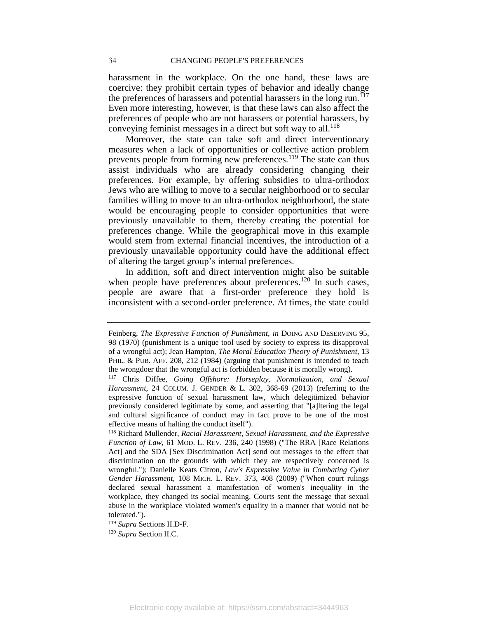#### 34 CHANGING PEOPLE'S PREFERENCES

harassment in the workplace. On the one hand, these laws are coercive: they prohibit certain types of behavior and ideally change the preferences of harassers and potential harassers in the long run.<sup>117</sup> Even more interesting, however, is that these laws can also affect the preferences of people who are not harassers or potential harassers, by conveying feminist messages in a direct but soft way to all.<sup>118</sup>

Moreover, the state can take soft and direct interventionary measures when a lack of opportunities or collective action problem prevents people from forming new preferences.<sup>119</sup> The state can thus assist individuals who are already considering changing their preferences. For example, by offering subsidies to ultra-orthodox Jews who are willing to move to a secular neighborhood or to secular families willing to move to an ultra-orthodox neighborhood, the state would be encouraging people to consider opportunities that were previously unavailable to them, thereby creating the potential for preferences change. While the geographical move in this example would stem from external financial incentives, the introduction of a previously unavailable opportunity could have the additional effect of altering the target group's internal preferences.

In addition, soft and direct intervention might also be suitable when people have preferences about preferences.<sup>120</sup> In such cases, people are aware that a first-order preference they hold is inconsistent with a second-order preference. At times, the state could

<sup>119</sup> *Supra* Sections II.D-F.

<sup>120</sup> *Supra* Section II.C.

Feinberg, *The Expressive Function of Punishment, in* DOING AND DESERVING 95, 98 (1970) (punishment is a unique tool used by society to express its disapproval of a wrongful act); Jean Hampton, *The Moral Education Theory of Punishment,* 13 PHIL. & PUB. AFF. 208, 212 (1984) (arguing that punishment is intended to teach the wrongdoer that the wrongful act is forbidden because it is morally wrong).

<sup>117</sup> Chris Diffee, *Going Offshore: Horseplay, Normalization, and Sexual Harassment*, 24 COLUM. J. GENDER & L. 302, 368-69 (2013) (referring to the expressive function of sexual harassment law, which delegitimized behavior previously considered legitimate by some, and asserting that "[a]ltering the legal and cultural significance of conduct may in fact prove to be one of the most effective means of halting the conduct itself").

<sup>118</sup> Richard Mullender, *Racial Harassment, Sexual Harassment, and the Expressive Function of Law*, 61 MOD. L. REV. 236, 240 (1998) ("The RRA [Race Relations Act] and the SDA [Sex Discrimination Act] send out messages to the effect that discrimination on the grounds with which they are respectively concerned is wrongful."); Danielle Keats Citron, *Law's Expressive Value in Combating Cyber Gender Harassment*, 108 MICH. L. REV. 373, 408 (2009) ("When court rulings declared sexual harassment a manifestation of women's inequality in the workplace, they changed its social meaning. Courts sent the message that sexual abuse in the workplace violated women's equality in a manner that would not be tolerated.").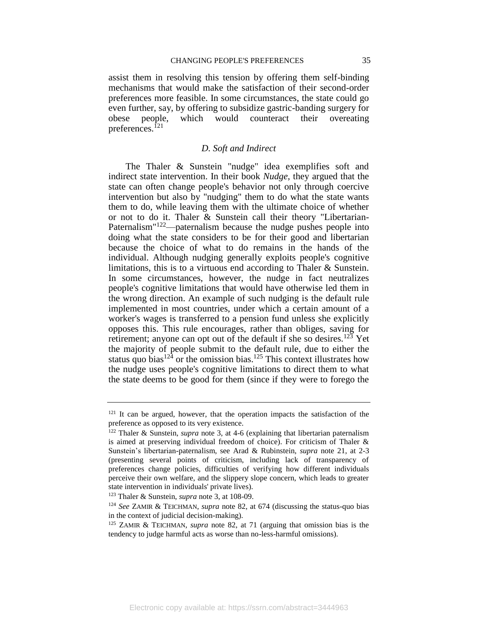assist them in resolving this tension by offering them self-binding mechanisms that would make the satisfaction of their second-order preferences more feasible. In some circumstances, the state could go even further, say, by offering to subsidize gastric-banding surgery for obese people, which would counteract their overeating preferences.<sup>121</sup>

#### *D. Soft and Indirect*

<span id="page-35-0"></span>The Thaler & Sunstein "nudge" idea exemplifies soft and indirect state intervention. In their book *Nudge*, they argued that the state can often change people's behavior not only through coercive intervention but also by "nudging" them to do what the state wants them to do, while leaving them with the ultimate choice of whether or not to do it. Thaler & Sunstein call their theory "Libertarian-Paternalism<sup>"122</sup>—paternalism because the nudge pushes people into doing what the state considers to be for their good and libertarian because the choice of what to do remains in the hands of the individual. Although nudging generally exploits people's cognitive limitations, this is to a virtuous end according to Thaler & Sunstein. In some circumstances, however, the nudge in fact neutralizes people's cognitive limitations that would have otherwise led them in the wrong direction. An example of such nudging is the default rule implemented in most countries, under which a certain amount of a worker's wages is transferred to a pension fund unless she explicitly opposes this. This rule encourages, rather than obliges, saving for retirement; anyone can opt out of the default if she so desires.<sup>123</sup> Yet the majority of people submit to the default rule, due to either the status quo bias<sup>124</sup> or the omission bias.<sup>125</sup> This context illustrates how the nudge uses people's cognitive limitations to direct them to what the state deems to be good for them (since if they were to forego the

 $121$  It can be argued, however, that the operation impacts the satisfaction of the preference as opposed to its very existence.

<sup>122</sup> Thaler & Sunstein, *supra* note [3,](#page-3-0) at 4-6 (explaining that libertarian paternalism is aimed at preserving individual freedom of choice). For criticism of Thaler & Sunstein's libertarian-paternalism, see Arad & Rubinstein, *supra* note [21,](#page-10-0) at 2-3 (presenting several points of criticism, including lack of transparency of preferences change policies, difficulties of verifying how different individuals perceive their own welfare, and the slippery slope concern, which leads to greater state intervention in individuals' private lives).

<sup>123</sup> Thaler & Sunstein, *supra* not[e 3,](#page-3-0) at 108-09.

<sup>124</sup> *See* ZAMIR & TEICHMAN, *supra* note [82,](#page-25-1) at 674 (discussing the status-quo bias in the context of judicial decision-making).

<sup>125</sup> ZAMIR & TEICHMAN, *supra* note [82,](#page-25-1) at 71 (arguing that omission bias is the tendency to judge harmful acts as worse than no-less-harmful omissions).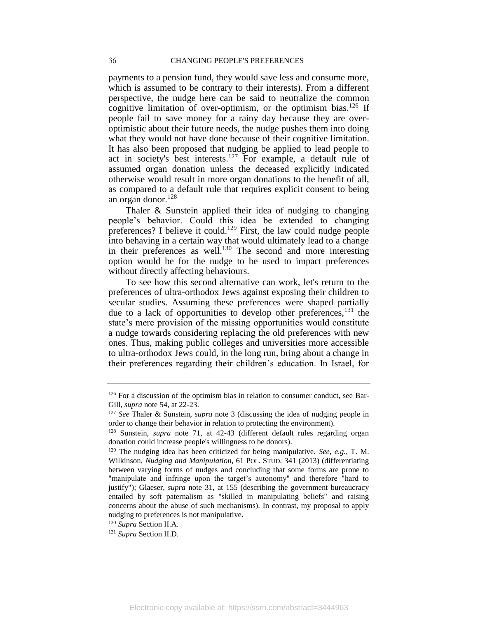payments to a pension fund, they would save less and consume more, which is assumed to be contrary to their interests). From a different perspective, the nudge here can be said to neutralize the common cognitive limitation of over-optimism, or the optimism bias.<sup>126</sup> If people fail to save money for a rainy day because they are overoptimistic about their future needs, the nudge pushes them into doing what they would not have done because of their cognitive limitation. It has also been proposed that nudging be applied to lead people to act in society's best interests.<sup>127</sup> For example, a default rule of assumed organ donation unless the deceased explicitly indicated otherwise would result in more organ donations to the benefit of all, as compared to a default rule that requires explicit consent to being an organ donor. $128$ 

Thaler & Sunstein applied their idea of nudging to changing people's behavior. Could this idea be extended to changing preferences? I believe it could.<sup>129</sup> First, the law could nudge people into behaving in a certain way that would ultimately lead to a change in their preferences as well.<sup>130</sup> The second and more interesting option would be for the nudge to be used to impact preferences without directly affecting behaviours.

To see how this second alternative can work, let's return to the preferences of ultra-orthodox Jews against exposing their children to secular studies. Assuming these preferences were shaped partially due to a lack of opportunities to develop other preferences,  $^{131}$  the state's mere provision of the missing opportunities would constitute a nudge towards considering replacing the old preferences with new ones. Thus, making public colleges and universities more accessible to ultra-orthodox Jews could, in the long run, bring about a change in their preferences regarding their children's education. In Israel, for

<sup>130</sup> *Supra* Section II.A.

<sup>131</sup> *Supra* Section II.D.

 $126$  For a discussion of the optimism bias in relation to consumer conduct, see Bar-Gill, *supra* note [54,](#page-18-1) at 22-23.

<sup>127</sup> *See* Thaler & Sunstein, *supra* note [3](#page-3-0) (discussing the idea of nudging people in order to change their behavior in relation to protecting the environment).

<sup>128</sup> Sunstein, *supra* note [71,](#page-22-0) at 42-43 (different default rules regarding organ donation could increase people's willingness to be donors).

<sup>129</sup> The nudging idea has been criticized for being manipulative. *See*, *e.g.*, T. M. Wilkinson, *Nudging and Manipulation*, 61 POL. STUD. 341 (2013) (differentiating between varying forms of nudges and concluding that some forms are prone to "manipulate and infringe upon the target's autonomy" and therefore "hard to justify"); Glaeser, *supra* note [31,](#page-11-0) at 155 (describing the government bureaucracy entailed by soft paternalism as "skilled in manipulating beliefs" and raising concerns about the abuse of such mechanisms). In contrast, my proposal to apply nudging to preferences is not manipulative.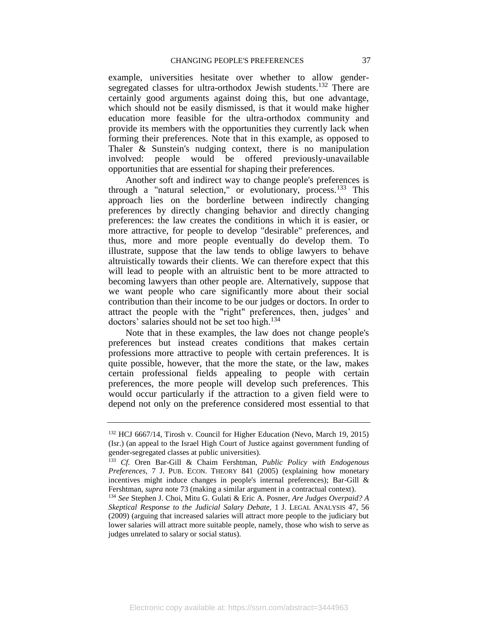example, universities hesitate over whether to allow gendersegregated classes for ultra-orthodox Jewish students.<sup>132</sup> There are certainly good arguments against doing this, but one advantage, which should not be easily dismissed, is that it would make higher education more feasible for the ultra-orthodox community and provide its members with the opportunities they currently lack when forming their preferences. Note that in this example, as opposed to Thaler & Sunstein's nudging context, there is no manipulation involved: people would be offered previously-unavailable opportunities that are essential for shaping their preferences.

Another soft and indirect way to change people's preferences is through a "natural selection," or evolutionary, process.<sup>133</sup> This approach lies on the borderline between indirectly changing preferences by directly changing behavior and directly changing preferences: the law creates the conditions in which it is easier, or more attractive, for people to develop "desirable" preferences, and thus, more and more people eventually do develop them. To illustrate, suppose that the law tends to oblige lawyers to behave altruistically towards their clients. We can therefore expect that this will lead to people with an altruistic bent to be more attracted to becoming lawyers than other people are. Alternatively, suppose that we want people who care significantly more about their social contribution than their income to be our judges or doctors. In order to attract the people with the "right" preferences, then, judges' and doctors' salaries should not be set too high. $134$ 

Note that in these examples, the law does not change people's preferences but instead creates conditions that makes certain professions more attractive to people with certain preferences. It is quite possible, however, that the more the state, or the law, makes certain professional fields appealing to people with certain preferences, the more people will develop such preferences. This would occur particularly if the attraction to a given field were to depend not only on the preference considered most essential to that

<sup>132</sup> HCJ 6667/14, Tirosh v. Council for Higher Education (Nevo, March 19, 2015) (Isr.) (an appeal to the Israel High Court of Justice against government funding of gender-segregated classes at public universities).

<sup>133</sup> *Cf.* Oren Bar-Gill & Chaim Fershtman, *Public Policy with Endogenous Preferences*, 7 J. PUB. ECON. THEORY 841 (2005) (explaining how monetary incentives might induce changes in people's internal preferences); Bar-Gill & Fershtman, *supra* note [73](#page-23-1) (making a similar argument in a contractual context).

<sup>134</sup> *See* Stephen J. Choi, Mitu G. Gulati & Eric A. Posner*, Are Judges [Overpaid? A](http://p1701-primoprd.tau.ac.il.rproxy.tau.ac.il/primo_library/libweb/action/display.do?tabs=detailsTab&ct=display&fn=search&doc=TN_gale_legal254786562&indx=1&recIds=TN_gale_legal254786562&recIdxs=0&elementId=0&renderMode=poppedOut&displayMode=full&frbrVersion=&dscnt=0&vl(drStartDay6)=00&tab=default_tab&dstmp=1443592979340&srt=rank&vl(boolOperator0)=AND&mode=Advanced&&vl(55572091UI5)=all_items&vl(1UIStartWith1)=contains&tb=t&vl(drEndYear6)=%D7%A9%D7%A0%D7%94&vl(freeText0)=judges%27%20compensation&vl(drEndDay6)=00&vid=TAU1&vl(freeText2)=&vl(boolOperator2)=AND&vl(55572095UI0)=any&vl(drEndMonth6)=00&title2=2&vl(drStartMonth6)=00&vl(55572098UI1)=creator&frbg=&vl(55572096UI3)=all_items&vl(boolOperator1)=AND&vl(99889880UI4)=all_items&vl(1UIStartWith2)=contains&dum=true&vl(1UIStartWith0)=contains&vl(55572097UI2)=creator&Submit=%D7%97%D7%A4%D7%A9&vl(freeText1)=posner&vl(drStartYear6)=%D7%A9%D7%A0%D7%94)  [Skeptical Response to the Judicial Salary Debate,](http://p1701-primoprd.tau.ac.il.rproxy.tau.ac.il/primo_library/libweb/action/display.do?tabs=detailsTab&ct=display&fn=search&doc=TN_gale_legal254786562&indx=1&recIds=TN_gale_legal254786562&recIdxs=0&elementId=0&renderMode=poppedOut&displayMode=full&frbrVersion=&dscnt=0&vl(drStartDay6)=00&tab=default_tab&dstmp=1443592979340&srt=rank&vl(boolOperator0)=AND&mode=Advanced&&vl(55572091UI5)=all_items&vl(1UIStartWith1)=contains&tb=t&vl(drEndYear6)=%D7%A9%D7%A0%D7%94&vl(freeText0)=judges%27%20compensation&vl(drEndDay6)=00&vid=TAU1&vl(freeText2)=&vl(boolOperator2)=AND&vl(55572095UI0)=any&vl(drEndMonth6)=00&title2=2&vl(drStartMonth6)=00&vl(55572098UI1)=creator&frbg=&vl(55572096UI3)=all_items&vl(boolOperator1)=AND&vl(99889880UI4)=all_items&vl(1UIStartWith2)=contains&dum=true&vl(1UIStartWith0)=contains&vl(55572097UI2)=creator&Submit=%D7%97%D7%A4%D7%A9&vl(freeText1)=posner&vl(drStartYear6)=%D7%A9%D7%A0%D7%94)* 1 J. LEGAL ANALYSIS 47, 56 (2009) (arguing that increased salaries will attract more people to the judiciary but lower salaries will attract more suitable people, namely, those who wish to serve as judges unrelated to salary or social status).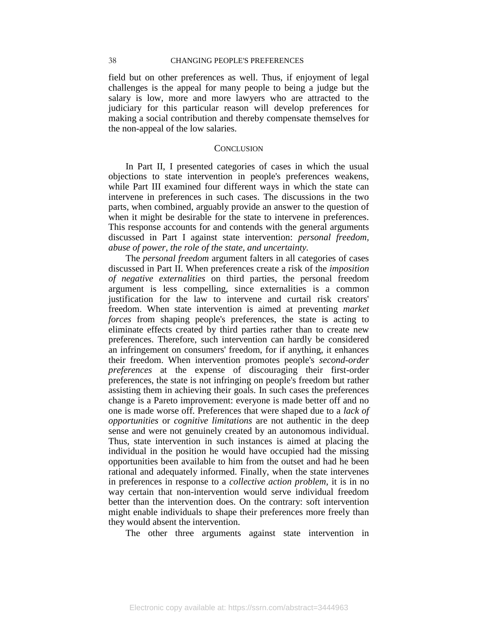field but on other preferences as well. Thus, if enjoyment of legal challenges is the appeal for many people to being a judge but the salary is low, more and more lawyers who are attracted to the judiciary for this particular reason will develop preferences for making a social contribution and thereby compensate themselves for the non-appeal of the low salaries.

#### **CONCLUSION**

<span id="page-38-0"></span>In Part II, I presented categories of cases in which the usual objections to state intervention in people's preferences weakens, while Part III examined four different ways in which the state can intervene in preferences in such cases. The discussions in the two parts, when combined, arguably provide an answer to the question of when it might be desirable for the state to intervene in preferences. This response accounts for and contends with the general arguments discussed in Part I against state intervention: *personal freedom, abuse of power, the role of the state, and uncertainty.*

The *personal freedom* argument falters in all categories of cases discussed in Part II. When preferences create a risk of the *imposition of negative externalities* on third parties, the personal freedom argument is less compelling, since externalities is a common justification for the law to intervene and curtail risk creators' freedom. When state intervention is aimed at preventing *market forces* from shaping people's preferences, the state is acting to eliminate effects created by third parties rather than to create new preferences. Therefore, such intervention can hardly be considered an infringement on consumers' freedom, for if anything, it enhances their freedom. When intervention promotes people's *second-order preferences* at the expense of discouraging their first-order preferences, the state is not infringing on people's freedom but rather assisting them in achieving their goals. In such cases the preferences change is a Pareto improvement: everyone is made better off and no one is made worse off. Preferences that were shaped due to a *lack of opportunities* or *cognitive limitations* are not authentic in the deep sense and were not genuinely created by an autonomous individual. Thus, state intervention in such instances is aimed at placing the individual in the position he would have occupied had the missing opportunities been available to him from the outset and had he been rational and adequately informed. Finally, when the state intervenes in preferences in response to a *collective action problem*, it is in no way certain that non-intervention would serve individual freedom better than the intervention does. On the contrary: soft intervention might enable individuals to shape their preferences more freely than they would absent the intervention.

The other three arguments against state intervention in